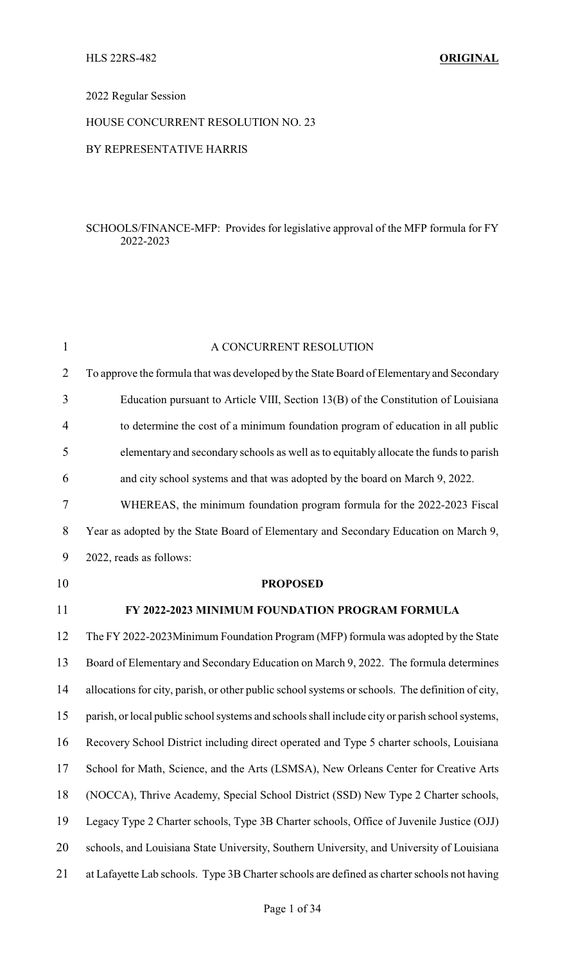#### 2022 Regular Session

#### HOUSE CONCURRENT RESOLUTION NO. 23

#### BY REPRESENTATIVE HARRIS

#### SCHOOLS/FINANCE-MFP: Provides for legislative approval of the MFP formula for FY 2022-2023

| $\mathbf{1}$   | A CONCURRENT RESOLUTION                                                                          |
|----------------|--------------------------------------------------------------------------------------------------|
| $\overline{2}$ | To approve the formula that was developed by the State Board of Elementary and Secondary         |
| 3              | Education pursuant to Article VIII, Section 13(B) of the Constitution of Louisiana               |
| $\overline{4}$ | to determine the cost of a minimum foundation program of education in all public                 |
| 5              | elementary and secondary schools as well as to equitably allocate the funds to parish            |
| 6              | and city school systems and that was adopted by the board on March 9, 2022.                      |
| $\tau$         | WHEREAS, the minimum foundation program formula for the 2022-2023 Fiscal                         |
| 8              | Year as adopted by the State Board of Elementary and Secondary Education on March 9,             |
| 9              | 2022, reads as follows:                                                                          |
| 10             | <b>PROPOSED</b>                                                                                  |
| 11             | FY 2022-2023 MINIMUM FOUNDATION PROGRAM FORMULA                                                  |
| 12             | The FY 2022-2023Minimum Foundation Program (MFP) formula was adopted by the State                |
| 13             | Board of Elementary and Secondary Education on March 9, 2022. The formula determines             |
| 14             | allocations for city, parish, or other public school systems or schools. The definition of city, |
| 15             | parish, or local public school systems and schools shall include city or parish school systems,  |
| 16             | Recovery School District including direct operated and Type 5 charter schools, Louisiana         |
| $17\,$         | School for Math, Science, and the Arts (LSMSA), New Orleans Center for Creative Arts             |
| 18             | (NOCCA), Thrive Academy, Special School District (SSD) New Type 2 Charter schools,               |
| 19             | Legacy Type 2 Charter schools, Type 3B Charter schools, Office of Juvenile Justice (OJJ)         |
| 20             | schools, and Louisiana State University, Southern University, and University of Louisiana        |
| 21             | at Lafayette Lab schools. Type 3B Charter schools are defined as charter schools not having      |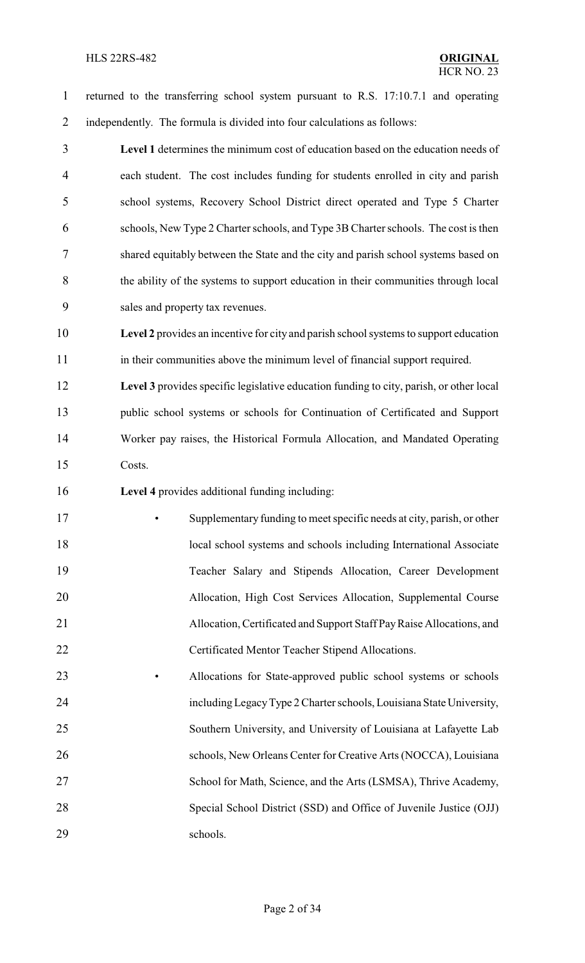#### HLS 22RS-482 **ORIGINAL**

 returned to the transferring school system pursuant to R.S. 17:10.7.1 and operating independently. The formula is divided into four calculations as follows:

 **Level 1** determines the minimum cost of education based on the education needs of each student. The cost includes funding for students enrolled in city and parish school systems, Recovery School District direct operated and Type 5 Charter schools, New Type 2 Charter schools, and Type 3B Charter schools. The cost is then shared equitably between the State and the city and parish school systems based on the ability of the systems to support education in their communities through local sales and property tax revenues.

 **Level 2** provides an incentive for city and parish school systems to support education in their communities above the minimum level of financial support required.

 **Level 3** provides specific legislative education funding to city, parish, or other local public school systems or schools for Continuation of Certificated and Support Worker pay raises, the Historical Formula Allocation, and Mandated Operating Costs.

**Level 4** provides additional funding including:

 • Supplementary funding to meet specific needs at city, parish, or other 18 local school systems and schools including International Associate Teacher Salary and Stipends Allocation, Career Development Allocation, High Cost Services Allocation, Supplemental Course Allocation, Certificated and Support Staff PayRaise Allocations, and Certificated Mentor Teacher Stipend Allocations.

 • Allocations for State-approved public school systems or schools includingLegacyType 2 Charter schools, Louisiana State University, Southern University, and University of Louisiana at Lafayette Lab 26 schools, New Orleans Center for Creative Arts (NOCCA), Louisiana School for Math, Science, and the Arts (LSMSA), Thrive Academy, Special School District (SSD) and Office of Juvenile Justice (OJJ) schools.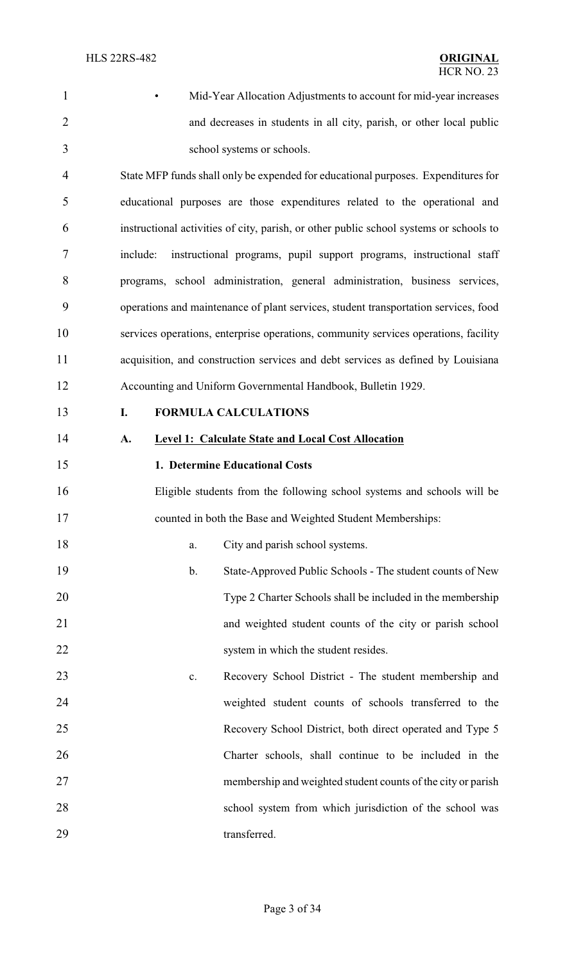• Mid-Year Allocation Adjustments to account for mid-year increases and decreases in students in all city, parish, or other local public school systems or schools.

 State MFP funds shall only be expended for educational purposes. Expenditures for educational purposes are those expenditures related to the operational and instructional activities of city, parish, or other public school systems or schools to include: instructional programs, pupil support programs, instructional staff programs, school administration, general administration, business services, operations and maintenance of plant services, student transportation services, food services operations, enterprise operations, community services operations, facility acquisition, and construction services and debt services as defined by Louisiana Accounting and Uniform Governmental Handbook, Bulletin 1929.

#### **I. FORMULA CALCULATIONS**

**A. Level 1: Calculate State and Local Cost Allocation**

#### **1. Determine Educational Costs**

 Eligible students from the following school systems and schools will be counted in both the Base and Weighted Student Memberships:

| 18<br>City and parish school systems. |  |
|---------------------------------------|--|
|---------------------------------------|--|

- b. State-Approved Public Schools The student counts of New Type 2 Charter Schools shall be included in the membership and weighted student counts of the city or parish school 22 system in which the student resides.
- c. Recovery School District The student membership and weighted student counts of schools transferred to the Recovery School District, both direct operated and Type 5 Charter schools, shall continue to be included in the membership and weighted student counts of the city or parish school system from which jurisdiction of the school was 29 transferred.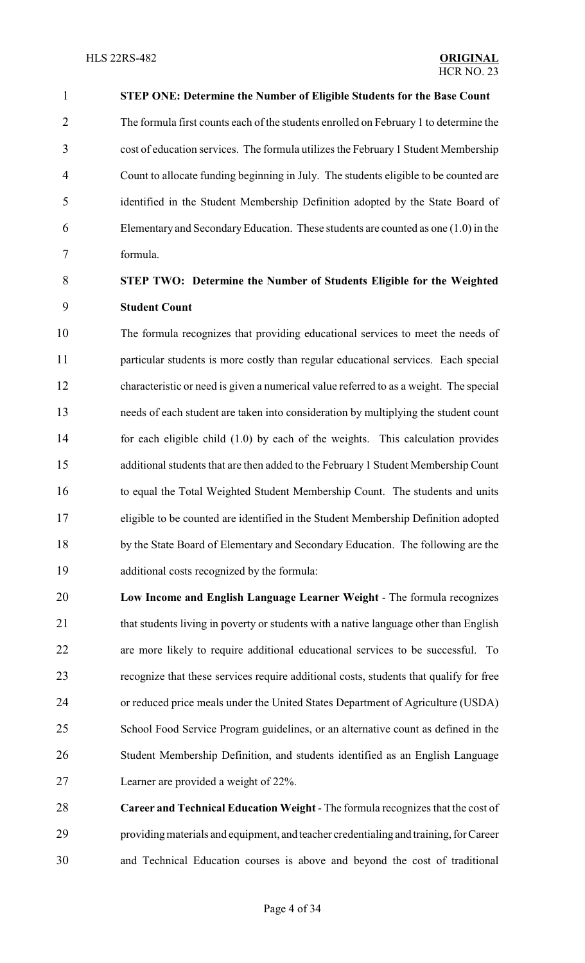**STEP ONE: Determine the Number of Eligible Students for the Base Count** The formula first counts each of the students enrolled on February 1 to determine the cost of education services. The formula utilizes the February 1 Student Membership Count to allocate funding beginning in July. The students eligible to be counted are identified in the Student Membership Definition adopted by the State Board of Elementary and SecondaryEducation. These students are counted as one (1.0) in the formula.

### **STEP TWO: Determine the Number of Students Eligible for the Weighted Student Count**

 The formula recognizes that providing educational services to meet the needs of particular students is more costly than regular educational services. Each special characteristic or need is given a numerical value referred to as a weight. The special needs of each student are taken into consideration by multiplying the student count for each eligible child (1.0) by each of the weights. This calculation provides additional students that are then added to the February 1 Student Membership Count to equal the Total Weighted Student Membership Count. The students and units eligible to be counted are identified in the Student Membership Definition adopted by the State Board of Elementary and Secondary Education. The following are the additional costs recognized by the formula:

- **Low Income and English Language Learner Weight**  The formula recognizes 21 that students living in poverty or students with a native language other than English are more likely to require additional educational services to be successful. To recognize that these services require additional costs, students that qualify for free or reduced price meals under the United States Department of Agriculture (USDA) School Food Service Program guidelines, or an alternative count as defined in the Student Membership Definition, and students identified as an English Language Learner are provided a weight of 22%.
- **Career and Technical Education Weight**  The formula recognizes that the cost of providingmaterials and equipment, and teacher credentialing and training, for Career and Technical Education courses is above and beyond the cost of traditional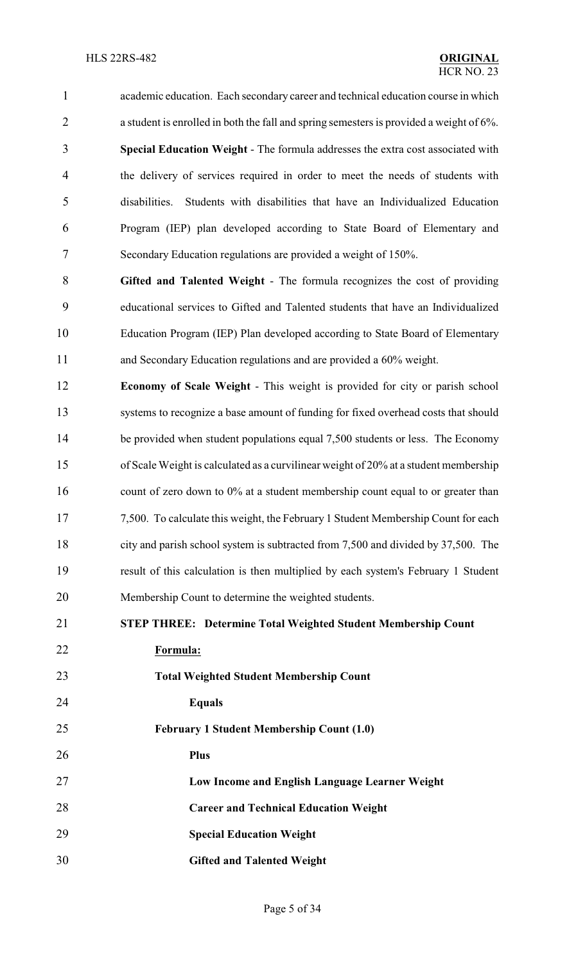academic education. Each secondary career and technical education course in which a student is enrolled in both the fall and spring semesters is provided a weight of 6%. **Special Education Weight** - The formula addresses the extra cost associated with the delivery of services required in order to meet the needs of students with disabilities. Students with disabilities that have an Individualized Education Program (IEP) plan developed according to State Board of Elementary and Secondary Education regulations are provided a weight of 150%.

 **Gifted and Talented Weight** - The formula recognizes the cost of providing educational services to Gifted and Talented students that have an Individualized Education Program (IEP) Plan developed according to State Board of Elementary and Secondary Education regulations and are provided a 60% weight.

 **Economy of Scale Weight** - This weight is provided for city or parish school systems to recognize a base amount of funding for fixed overhead costs that should 14 be provided when student populations equal 7,500 students or less. The Economy of Scale Weight is calculated as a curvilinear weight of 20% at a student membership 16 count of zero down to 0% at a student membership count equal to or greater than 7,500. To calculate this weight, the February 1 Student Membership Count for each city and parish school system is subtracted from 7,500 and divided by 37,500. The result of this calculation is then multiplied by each system's February 1 Student Membership Count to determine the weighted students.

**STEP THREE: Determine Total Weighted Student Membership Count**

**Formula:**

**Total Weighted Student Membership Count**

**Equals**

**February 1 Student Membership Count (1.0)** 

**Plus**

**Low Income and English Language Learner Weight**

**Career and Technical Education Weight**

**Special Education Weight** 

**Gifted and Talented Weight**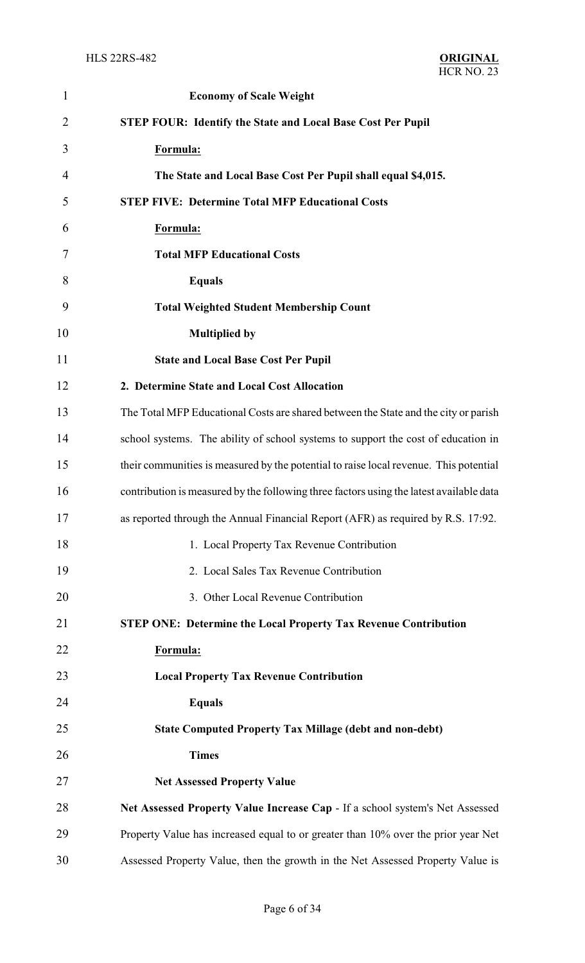| $\mathbf{1}$   | <b>Economy of Scale Weight</b>                                                          |
|----------------|-----------------------------------------------------------------------------------------|
| $\overline{2}$ | <b>STEP FOUR: Identify the State and Local Base Cost Per Pupil</b>                      |
| 3              | Formula:                                                                                |
| 4              | The State and Local Base Cost Per Pupil shall equal \$4,015.                            |
| 5              | <b>STEP FIVE: Determine Total MFP Educational Costs</b>                                 |
| 6              | Formula:                                                                                |
| 7              | <b>Total MFP Educational Costs</b>                                                      |
| 8              | <b>Equals</b>                                                                           |
| 9              | <b>Total Weighted Student Membership Count</b>                                          |
| 10             | <b>Multiplied by</b>                                                                    |
| 11             | <b>State and Local Base Cost Per Pupil</b>                                              |
| 12             | 2. Determine State and Local Cost Allocation                                            |
| 13             | The Total MFP Educational Costs are shared between the State and the city or parish     |
| 14             | school systems. The ability of school systems to support the cost of education in       |
| 15             | their communities is measured by the potential to raise local revenue. This potential   |
| 16             | contribution is measured by the following three factors using the latest available data |
| 17             | as reported through the Annual Financial Report (AFR) as required by R.S. 17:92.        |
| 18             | 1. Local Property Tax Revenue Contribution                                              |
| 19             | 2. Local Sales Tax Revenue Contribution                                                 |
| 20             | 3. Other Local Revenue Contribution                                                     |
| 21             | <b>STEP ONE: Determine the Local Property Tax Revenue Contribution</b>                  |
| 22             | Formula:                                                                                |
| 23             | <b>Local Property Tax Revenue Contribution</b>                                          |
| 24             | <b>Equals</b>                                                                           |
| 25             | <b>State Computed Property Tax Millage (debt and non-debt)</b>                          |
| 26             | <b>Times</b>                                                                            |
| 27             | <b>Net Assessed Property Value</b>                                                      |
| 28             | Net Assessed Property Value Increase Cap - If a school system's Net Assessed            |
| 29             | Property Value has increased equal to or greater than 10% over the prior year Net       |
| 30             | Assessed Property Value, then the growth in the Net Assessed Property Value is          |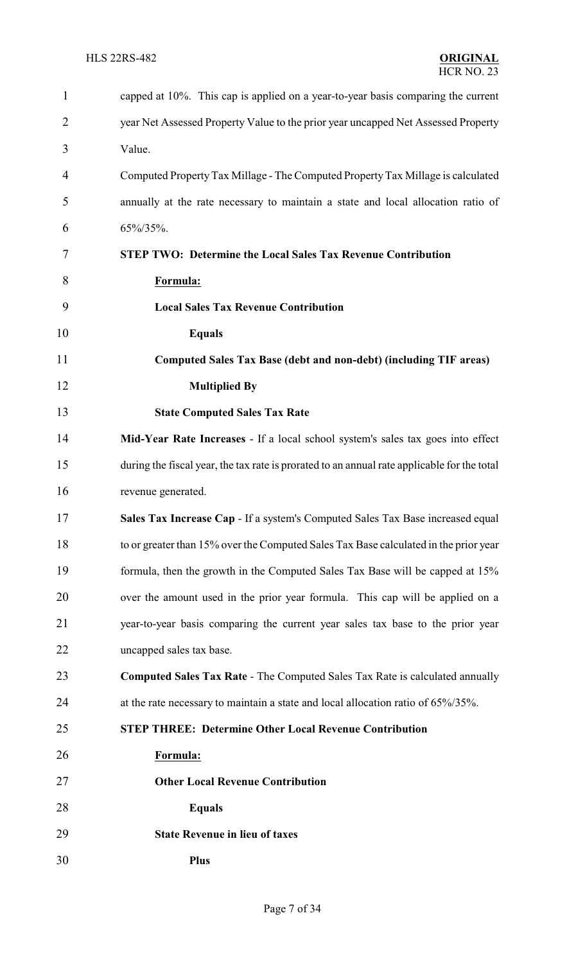| $\mathbf{1}$   | capped at 10%. This cap is applied on a year-to-year basis comparing the current            |
|----------------|---------------------------------------------------------------------------------------------|
| $\overline{2}$ | year Net Assessed Property Value to the prior year uncapped Net Assessed Property           |
| 3              | Value.                                                                                      |
| 4              | Computed Property Tax Millage - The Computed Property Tax Millage is calculated             |
| 5              | annually at the rate necessary to maintain a state and local allocation ratio of            |
| 6              | 65%/35%.                                                                                    |
| 7              | <b>STEP TWO: Determine the Local Sales Tax Revenue Contribution</b>                         |
| 8              | Formula:                                                                                    |
| 9              | <b>Local Sales Tax Revenue Contribution</b>                                                 |
| 10             | <b>Equals</b>                                                                               |
| 11             | Computed Sales Tax Base (debt and non-debt) (including TIF areas)                           |
| 12             | <b>Multiplied By</b>                                                                        |
| 13             | <b>State Computed Sales Tax Rate</b>                                                        |
| 14             | Mid-Year Rate Increases - If a local school system's sales tax goes into effect             |
| 15             | during the fiscal year, the tax rate is prorated to an annual rate applicable for the total |
| 16             | revenue generated.                                                                          |
| 17             | Sales Tax Increase Cap - If a system's Computed Sales Tax Base increased equal              |
| 18             | to or greater than 15% over the Computed Sales Tax Base calculated in the prior year        |
| 19             | formula, then the growth in the Computed Sales Tax Base will be capped at 15%               |
| 20             | over the amount used in the prior year formula. This cap will be applied on a               |
| 21             | year-to-year basis comparing the current year sales tax base to the prior year              |
| 22             | uncapped sales tax base.                                                                    |
| 23             | <b>Computed Sales Tax Rate - The Computed Sales Tax Rate is calculated annually</b>         |
| 24             | at the rate necessary to maintain a state and local allocation ratio of 65%/35%.            |
| 25             | <b>STEP THREE: Determine Other Local Revenue Contribution</b>                               |
| 26             | Formula:                                                                                    |
| 27             | <b>Other Local Revenue Contribution</b>                                                     |
| 28             | <b>Equals</b>                                                                               |
| 29             | <b>State Revenue in lieu of taxes</b>                                                       |
| 30             | <b>Plus</b>                                                                                 |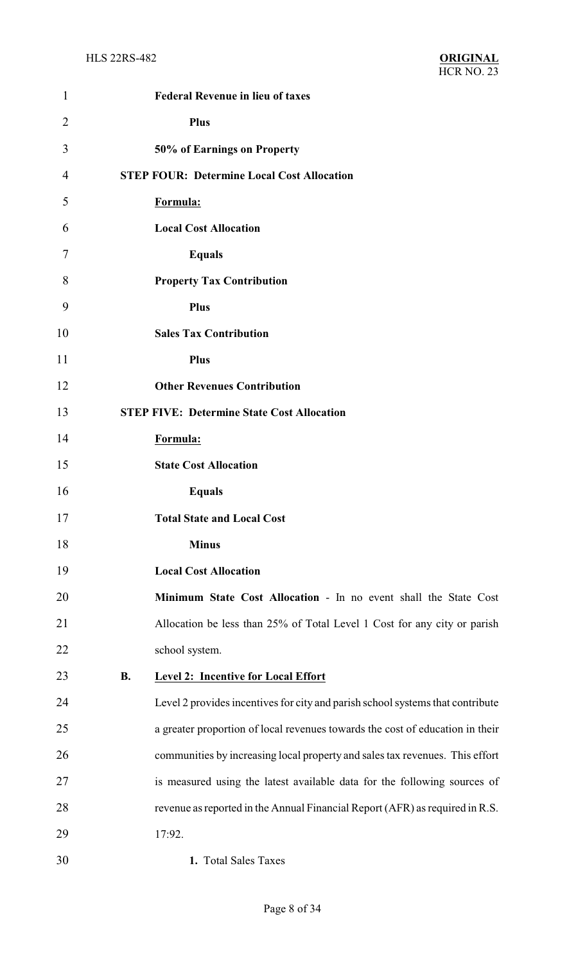| 1              | <b>Federal Revenue in lieu of taxes</b>                                        |
|----------------|--------------------------------------------------------------------------------|
| $\overline{2}$ | <b>Plus</b>                                                                    |
| 3              | 50% of Earnings on Property                                                    |
| $\overline{4}$ | <b>STEP FOUR: Determine Local Cost Allocation</b>                              |
| 5              | Formula:                                                                       |
| 6              | <b>Local Cost Allocation</b>                                                   |
| 7              | <b>Equals</b>                                                                  |
| 8              | <b>Property Tax Contribution</b>                                               |
| 9              | <b>Plus</b>                                                                    |
| 10             | <b>Sales Tax Contribution</b>                                                  |
| 11             | <b>Plus</b>                                                                    |
| 12             | <b>Other Revenues Contribution</b>                                             |
| 13             | <b>STEP FIVE: Determine State Cost Allocation</b>                              |
| 14             | Formula:                                                                       |
| 15             | <b>State Cost Allocation</b>                                                   |
| 16             | <b>Equals</b>                                                                  |
| 17             | <b>Total State and Local Cost</b>                                              |
| 18             | <b>Minus</b>                                                                   |
| 19             | <b>Local Cost Allocation</b>                                                   |
| 20             | Minimum State Cost Allocation - In no event shall the State Cost               |
| 21             | Allocation be less than 25% of Total Level 1 Cost for any city or parish       |
| 22             | school system.                                                                 |
| 23             | <b>B.</b><br><b>Level 2: Incentive for Local Effort</b>                        |
| 24             | Level 2 provides incentives for city and parish school systems that contribute |
| 25             | a greater proportion of local revenues towards the cost of education in their  |
| 26             | communities by increasing local property and sales tax revenues. This effort   |
| 27             | is measured using the latest available data for the following sources of       |
| 28             | revenue as reported in the Annual Financial Report (AFR) as required in R.S.   |
| 29             | 17:92.                                                                         |
| 30             | 1. Total Sales Taxes                                                           |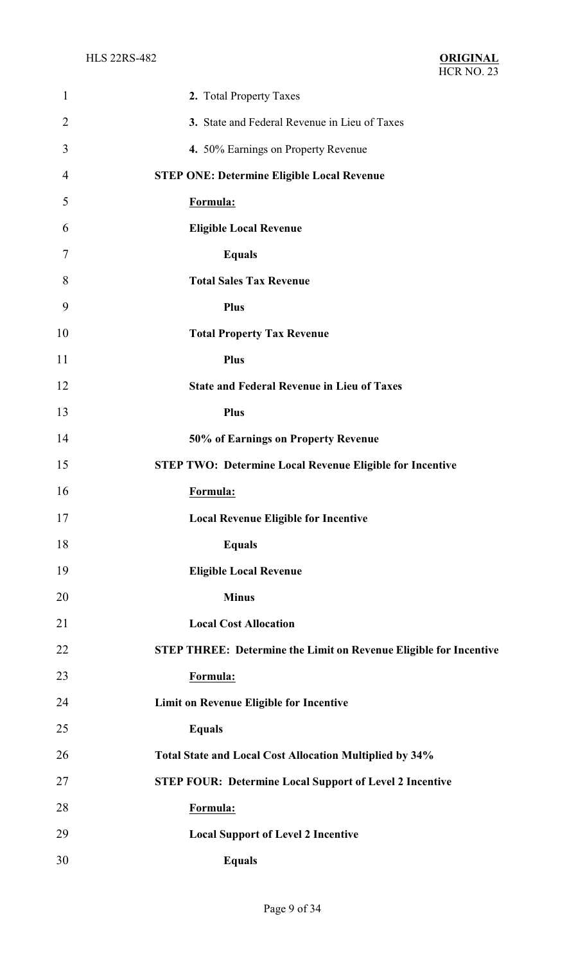| $\mathbf{1}$   | 2. Total Property Taxes                                                  |
|----------------|--------------------------------------------------------------------------|
| $\overline{2}$ | 3. State and Federal Revenue in Lieu of Taxes                            |
| 3              | 4. 50% Earnings on Property Revenue                                      |
| $\overline{4}$ | <b>STEP ONE: Determine Eligible Local Revenue</b>                        |
| 5              | Formula:                                                                 |
| 6              | <b>Eligible Local Revenue</b>                                            |
| 7              | <b>Equals</b>                                                            |
| 8              | <b>Total Sales Tax Revenue</b>                                           |
| 9              | <b>Plus</b>                                                              |
| 10             | <b>Total Property Tax Revenue</b>                                        |
| 11             | <b>Plus</b>                                                              |
| 12             | <b>State and Federal Revenue in Lieu of Taxes</b>                        |
| 13             | <b>Plus</b>                                                              |
| 14             | 50% of Earnings on Property Revenue                                      |
| 15             | <b>STEP TWO: Determine Local Revenue Eligible for Incentive</b>          |
| 16             | Formula:                                                                 |
| 17             | <b>Local Revenue Eligible for Incentive</b>                              |
| 18             | <b>Equals</b>                                                            |
| 19             | <b>Eligible Local Revenue</b>                                            |
| 20             | <b>Minus</b>                                                             |
| 21             | <b>Local Cost Allocation</b>                                             |
| 22             | <b>STEP THREE: Determine the Limit on Revenue Eligible for Incentive</b> |
| 23             | Formula:                                                                 |
| 24             | Limit on Revenue Eligible for Incentive                                  |
| 25             | <b>Equals</b>                                                            |
| 26             | Total State and Local Cost Allocation Multiplied by 34%                  |
| 27             | <b>STEP FOUR: Determine Local Support of Level 2 Incentive</b>           |
| 28             | Formula:                                                                 |
| 29             | <b>Local Support of Level 2 Incentive</b>                                |
| 30             | <b>Equals</b>                                                            |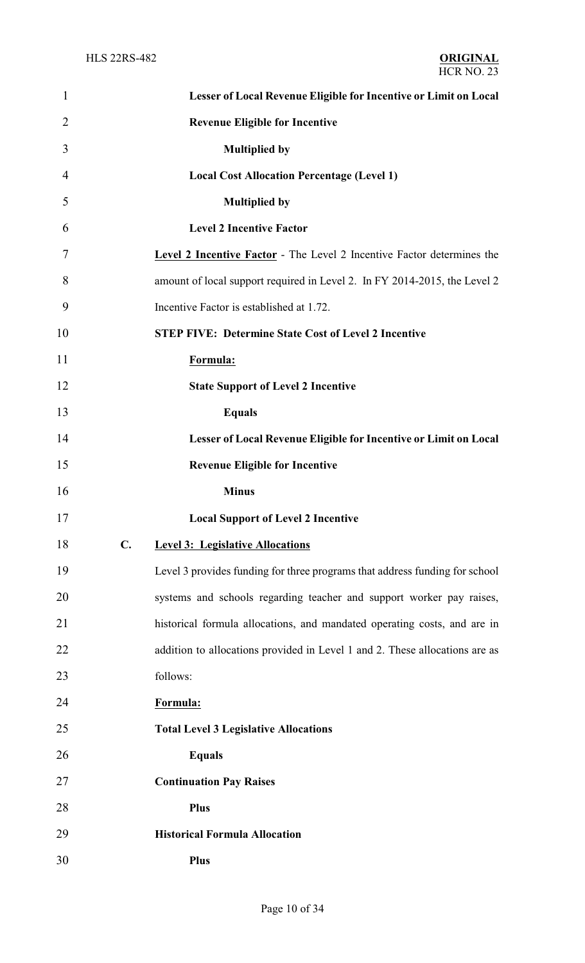| $\mathbf{1}$   | Lesser of Local Revenue Eligible for Incentive or Limit on Local              |
|----------------|-------------------------------------------------------------------------------|
| $\overline{2}$ | <b>Revenue Eligible for Incentive</b>                                         |
| 3              | <b>Multiplied by</b>                                                          |
| $\overline{4}$ | <b>Local Cost Allocation Percentage (Level 1)</b>                             |
| 5              | <b>Multiplied by</b>                                                          |
| 6              | <b>Level 2 Incentive Factor</b>                                               |
| 7              | <b>Level 2 Incentive Factor</b> - The Level 2 Incentive Factor determines the |
| 8              | amount of local support required in Level 2. In FY 2014-2015, the Level 2     |
| 9              | Incentive Factor is established at 1.72.                                      |
| 10             | <b>STEP FIVE: Determine State Cost of Level 2 Incentive</b>                   |
| 11             | Formula:                                                                      |
| 12             | <b>State Support of Level 2 Incentive</b>                                     |
| 13             | <b>Equals</b>                                                                 |
| 14             | Lesser of Local Revenue Eligible for Incentive or Limit on Local              |
| 15             | <b>Revenue Eligible for Incentive</b>                                         |
| 16             | <b>Minus</b>                                                                  |
| 17             | <b>Local Support of Level 2 Incentive</b>                                     |
| 18             | $C_{\bullet}$<br><b>Level 3: Legislative Allocations</b>                      |
| 19             | Level 3 provides funding for three programs that address funding for school   |
| 20             | systems and schools regarding teacher and support worker pay raises,          |
| 21             | historical formula allocations, and mandated operating costs, and are in      |
| 22             | addition to allocations provided in Level 1 and 2. These allocations are as   |
| 23             | follows:                                                                      |
| 24             | Formula:                                                                      |
| 25             | <b>Total Level 3 Legislative Allocations</b>                                  |
| 26             | <b>Equals</b>                                                                 |
| 27             | <b>Continuation Pay Raises</b>                                                |
| 28             | <b>Plus</b>                                                                   |
| 29             | <b>Historical Formula Allocation</b>                                          |
| 30             | <b>Plus</b>                                                                   |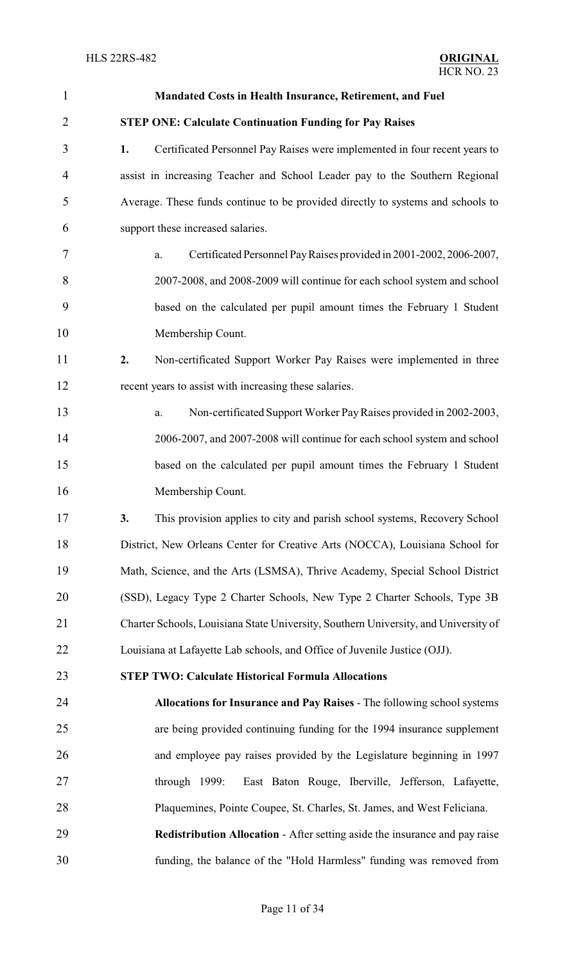| $\mathbf{1}$   | Mandated Costs in Health Insurance, Retirement, and Fuel                            |
|----------------|-------------------------------------------------------------------------------------|
| $\overline{2}$ | <b>STEP ONE: Calculate Continuation Funding for Pay Raises</b>                      |
| 3              | 1.<br>Certificated Personnel Pay Raises were implemented in four recent years to    |
| $\overline{4}$ | assist in increasing Teacher and School Leader pay to the Southern Regional         |
| 5              | Average. These funds continue to be provided directly to systems and schools to     |
| 6              | support these increased salaries.                                                   |
| 7              | Certificated Personnel Pay Raises provided in 2001-2002, 2006-2007,<br>a.           |
| 8              | 2007-2008, and 2008-2009 will continue for each school system and school            |
| 9              | based on the calculated per pupil amount times the February 1 Student               |
| 10             | Membership Count.                                                                   |
| 11             | Non-certificated Support Worker Pay Raises were implemented in three<br>2.          |
| 12             | recent years to assist with increasing these salaries.                              |
| 13             | Non-certificated Support Worker Pay Raises provided in 2002-2003,<br>a.             |
| 14             | 2006-2007, and 2007-2008 will continue for each school system and school            |
| 15             | based on the calculated per pupil amount times the February 1 Student               |
| 16             | Membership Count.                                                                   |
| 17             | This provision applies to city and parish school systems, Recovery School<br>3.     |
| 18             | District, New Orleans Center for Creative Arts (NOCCA), Louisiana School for        |
| 19             | Math, Science, and the Arts (LSMSA), Thrive Academy, Special School District        |
| 20             | (SSD), Legacy Type 2 Charter Schools, New Type 2 Charter Schools, Type 3B           |
| 21             | Charter Schools, Louisiana State University, Southern University, and University of |
| 22             | Louisiana at Lafayette Lab schools, and Office of Juvenile Justice (OJJ).           |
| 23             | <b>STEP TWO: Calculate Historical Formula Allocations</b>                           |
| 24             | Allocations for Insurance and Pay Raises - The following school systems             |
| 25             | are being provided continuing funding for the 1994 insurance supplement             |
| 26             | and employee pay raises provided by the Legislature beginning in 1997               |
| 27             | East Baton Rouge, Iberville, Jefferson, Lafayette,<br>through $1999$ :              |
| 28             | Plaquemines, Pointe Coupee, St. Charles, St. James, and West Feliciana.             |
| 29             | <b>Redistribution Allocation - After setting aside the insurance and pay raise</b>  |
| 30             | funding, the balance of the "Hold Harmless" funding was removed from                |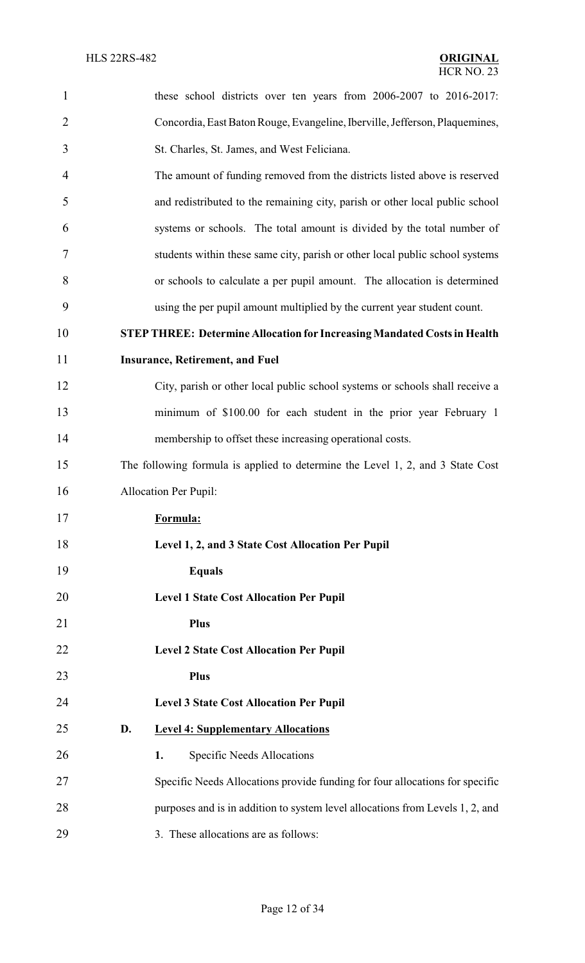| $\mathbf{1}$   | these school districts over ten years from 2006-2007 to 2016-2017:              |
|----------------|---------------------------------------------------------------------------------|
| $\overline{2}$ | Concordia, East Baton Rouge, Evangeline, Iberville, Jefferson, Plaquemines,     |
| 3              | St. Charles, St. James, and West Feliciana.                                     |
| $\overline{4}$ | The amount of funding removed from the districts listed above is reserved       |
| 5              | and redistributed to the remaining city, parish or other local public school    |
| 6              | systems or schools. The total amount is divided by the total number of          |
| 7              | students within these same city, parish or other local public school systems    |
| 8              | or schools to calculate a per pupil amount. The allocation is determined        |
| 9              | using the per pupil amount multiplied by the current year student count.        |
| 10             | <b>STEP THREE: Determine Allocation for Increasing Mandated Costs in Health</b> |
| 11             | <b>Insurance, Retirement, and Fuel</b>                                          |
| 12             | City, parish or other local public school systems or schools shall receive a    |
| 13             | minimum of \$100.00 for each student in the prior year February 1               |
| 14             | membership to offset these increasing operational costs.                        |
| 15             | The following formula is applied to determine the Level 1, 2, and 3 State Cost  |
| 16             | <b>Allocation Per Pupil:</b>                                                    |
| 17             | Formula:                                                                        |
| 18             | Level 1, 2, and 3 State Cost Allocation Per Pupil                               |
| 19             | <b>Equals</b>                                                                   |
| 20             | <b>Level 1 State Cost Allocation Per Pupil</b>                                  |
| 21             | Plus                                                                            |
| 22             | <b>Level 2 State Cost Allocation Per Pupil</b>                                  |
| 23             | Plus                                                                            |
| 24             | <b>Level 3 State Cost Allocation Per Pupil</b>                                  |
| 25             | D.<br><b>Level 4: Supplementary Allocations</b>                                 |
| 26             | Specific Needs Allocations<br>1.                                                |
| 27             | Specific Needs Allocations provide funding for four allocations for specific    |
| 28             | purposes and is in addition to system level allocations from Levels 1, 2, and   |
| 29             | 3. These allocations are as follows:                                            |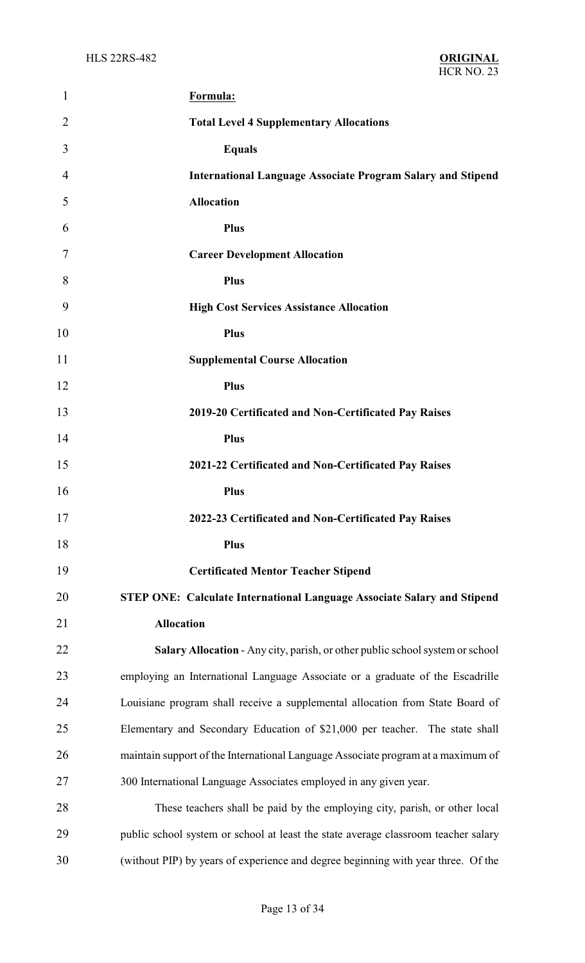| 1              | Formula:                                                                           |
|----------------|------------------------------------------------------------------------------------|
| $\overline{2}$ | <b>Total Level 4 Supplementary Allocations</b>                                     |
| 3              | <b>Equals</b>                                                                      |
| 4              | <b>International Language Associate Program Salary and Stipend</b>                 |
| 5              | <b>Allocation</b>                                                                  |
| 6              | <b>Plus</b>                                                                        |
| 7              | <b>Career Development Allocation</b>                                               |
| 8              | <b>Plus</b>                                                                        |
| 9              | <b>High Cost Services Assistance Allocation</b>                                    |
| 10             | <b>Plus</b>                                                                        |
| 11             | <b>Supplemental Course Allocation</b>                                              |
| 12             | <b>Plus</b>                                                                        |
| 13             | 2019-20 Certificated and Non-Certificated Pay Raises                               |
| 14             | <b>Plus</b>                                                                        |
| 15             | 2021-22 Certificated and Non-Certificated Pay Raises                               |
| 16             | <b>Plus</b>                                                                        |
| 17             | 2022-23 Certificated and Non-Certificated Pay Raises                               |
| 18             | <b>Plus</b>                                                                        |
| 19             | <b>Certificated Mentor Teacher Stipend</b>                                         |
| 20             | <b>STEP ONE: Calculate International Language Associate Salary and Stipend</b>     |
| 21             | <b>Allocation</b>                                                                  |
| 22             | Salary Allocation - Any city, parish, or other public school system or school      |
| 23             | employing an International Language Associate or a graduate of the Escadrille      |
| 24             | Louisiane program shall receive a supplemental allocation from State Board of      |
| 25             | Elementary and Secondary Education of \$21,000 per teacher. The state shall        |
| 26             | maintain support of the International Language Associate program at a maximum of   |
| 27             | 300 International Language Associates employed in any given year.                  |
| 28             | These teachers shall be paid by the employing city, parish, or other local         |
| 29             | public school system or school at least the state average classroom teacher salary |
| 30             | (without PIP) by years of experience and degree beginning with year three. Of the  |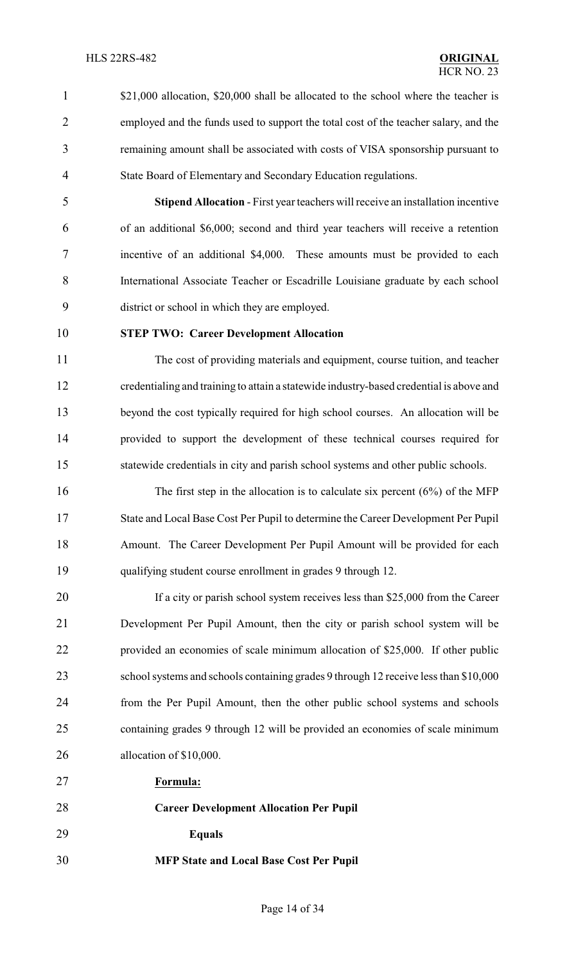- 1 \$21,000 allocation, \$20,000 shall be allocated to the school where the teacher is employed and the funds used to support the total cost of the teacher salary, and the remaining amount shall be associated with costs of VISA sponsorship pursuant to
- 

 **Stipend Allocation** - First year teachers will receive an installation incentive of an additional \$6,000; second and third year teachers will receive a retention incentive of an additional \$4,000. These amounts must be provided to each International Associate Teacher or Escadrille Louisiane graduate by each school district or school in which they are employed.

#### **STEP TWO: Career Development Allocation**

State Board of Elementary and Secondary Education regulations.

 The cost of providing materials and equipment, course tuition, and teacher credentialing and training to attain a statewide industry-based credential is above and beyond the cost typically required for high school courses. An allocation will be provided to support the development of these technical courses required for statewide credentials in city and parish school systems and other public schools.

16 The first step in the allocation is to calculate six percent (6%) of the MFP State and Local Base Cost Per Pupil to determine the Career Development Per Pupil Amount. The Career Development Per Pupil Amount will be provided for each qualifying student course enrollment in grades 9 through 12.

20 If a city or parish school system receives less than \$25,000 from the Career Development Per Pupil Amount, then the city or parish school system will be provided an economies of scale minimum allocation of \$25,000. If other public school systems and schools containing grades 9 through 12 receive less than \$10,000 from the Per Pupil Amount, then the other public school systems and schools containing grades 9 through 12 will be provided an economies of scale minimum allocation of \$10,000.

**Formula:**

```
28 Career Development Allocation Per Pupil
29 Equals
30 MFP State and Local Base Cost Per Pupil
```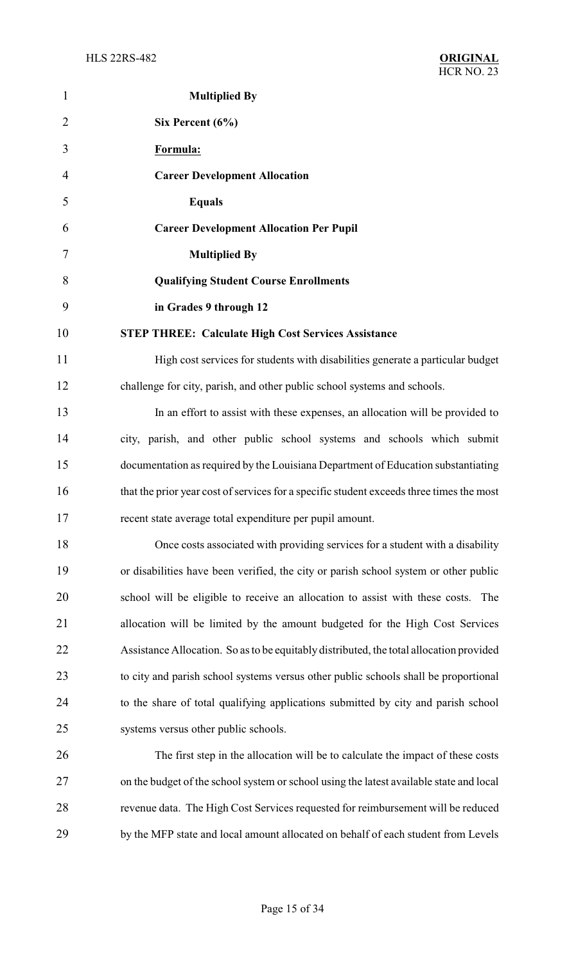| $\mathbf{1}$   | <b>Multiplied By</b>                                                                     |
|----------------|------------------------------------------------------------------------------------------|
| $\overline{2}$ | Six Percent $(6\%)$                                                                      |
| 3              | Formula:                                                                                 |
| 4              | <b>Career Development Allocation</b>                                                     |
| 5              | <b>Equals</b>                                                                            |
| 6              | <b>Career Development Allocation Per Pupil</b>                                           |
| 7              | <b>Multiplied By</b>                                                                     |
| 8              | <b>Qualifying Student Course Enrollments</b>                                             |
| 9              | in Grades 9 through 12                                                                   |
| 10             | <b>STEP THREE: Calculate High Cost Services Assistance</b>                               |
| 11             | High cost services for students with disabilities generate a particular budget           |
| 12             | challenge for city, parish, and other public school systems and schools.                 |
| 13             | In an effort to assist with these expenses, an allocation will be provided to            |
| 14             | city, parish, and other public school systems and schools which submit                   |
| 15             | documentation as required by the Louisiana Department of Education substantiating        |
| 16             | that the prior year cost of services for a specific student exceeds three times the most |
| 17             | recent state average total expenditure per pupil amount.                                 |
| 18             | Once costs associated with providing services for a student with a disability            |
| 19             | or disabilities have been verified, the city or parish school system or other public     |
| 20             | school will be eligible to receive an allocation to assist with these costs. The         |
| 21             | allocation will be limited by the amount budgeted for the High Cost Services             |
| 22             | Assistance Allocation. So as to be equitably distributed, the total allocation provided  |
| 23             | to city and parish school systems versus other public schools shall be proportional      |
| 24             | to the share of total qualifying applications submitted by city and parish school        |
| 25             | systems versus other public schools.                                                     |
| 26             | The first step in the allocation will be to calculate the impact of these costs          |
| 27             | on the budget of the school system or school using the latest available state and local  |
| 28             | revenue data. The High Cost Services requested for reimbursement will be reduced         |
| 29             | by the MFP state and local amount allocated on behalf of each student from Levels        |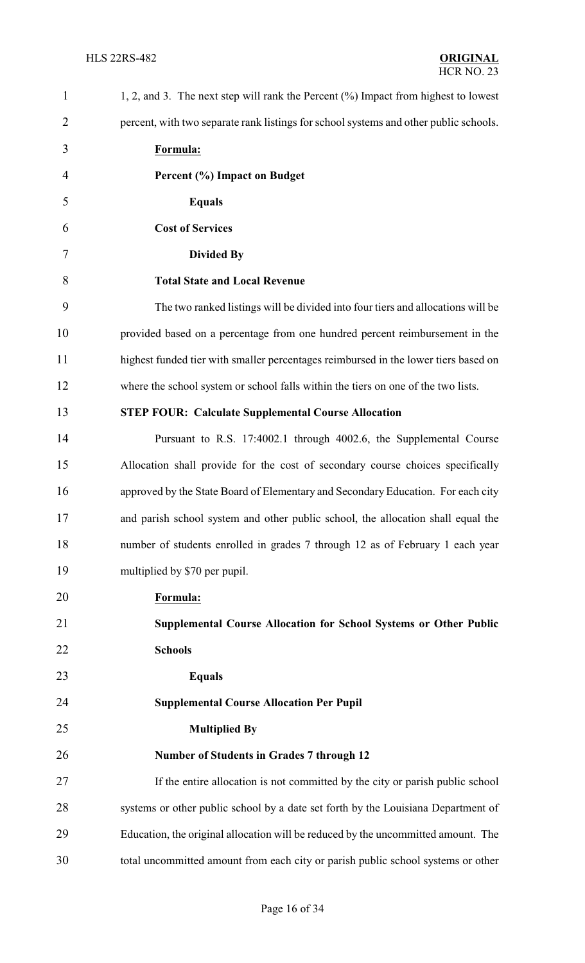| $\mathbf{1}$   | 1, 2, and 3. The next step will rank the Percent $(\%)$ Impact from highest to lowest |
|----------------|---------------------------------------------------------------------------------------|
| $\overline{2}$ | percent, with two separate rank listings for school systems and other public schools. |
| 3              | Formula:                                                                              |
| $\overline{4}$ | Percent (%) Impact on Budget                                                          |
| 5              | <b>Equals</b>                                                                         |
| 6              | <b>Cost of Services</b>                                                               |
| 7              | <b>Divided By</b>                                                                     |
| 8              | <b>Total State and Local Revenue</b>                                                  |
| 9              | The two ranked listings will be divided into four tiers and allocations will be       |
| 10             | provided based on a percentage from one hundred percent reimbursement in the          |
| 11             | highest funded tier with smaller percentages reimbursed in the lower tiers based on   |
| 12             | where the school system or school falls within the tiers on one of the two lists.     |
| 13             | <b>STEP FOUR: Calculate Supplemental Course Allocation</b>                            |
| 14             | Pursuant to R.S. 17:4002.1 through 4002.6, the Supplemental Course                    |
| 15             | Allocation shall provide for the cost of secondary course choices specifically        |
| 16             | approved by the State Board of Elementary and Secondary Education. For each city      |
| 17             | and parish school system and other public school, the allocation shall equal the      |
| 18             | number of students enrolled in grades 7 through 12 as of February 1 each year         |
| 19             | multiplied by \$70 per pupil.                                                         |
| 20             | Formula:                                                                              |
| 21             | Supplemental Course Allocation for School Systems or Other Public                     |
| 22             | <b>Schools</b>                                                                        |
| 23             | <b>Equals</b>                                                                         |
| 24             | <b>Supplemental Course Allocation Per Pupil</b>                                       |
| 25             | <b>Multiplied By</b>                                                                  |
| 26             | <b>Number of Students in Grades 7 through 12</b>                                      |
| 27             | If the entire allocation is not committed by the city or parish public school         |
| 28             | systems or other public school by a date set forth by the Louisiana Department of     |
| 29             | Education, the original allocation will be reduced by the uncommitted amount. The     |
| 30             | total uncommitted amount from each city or parish public school systems or other      |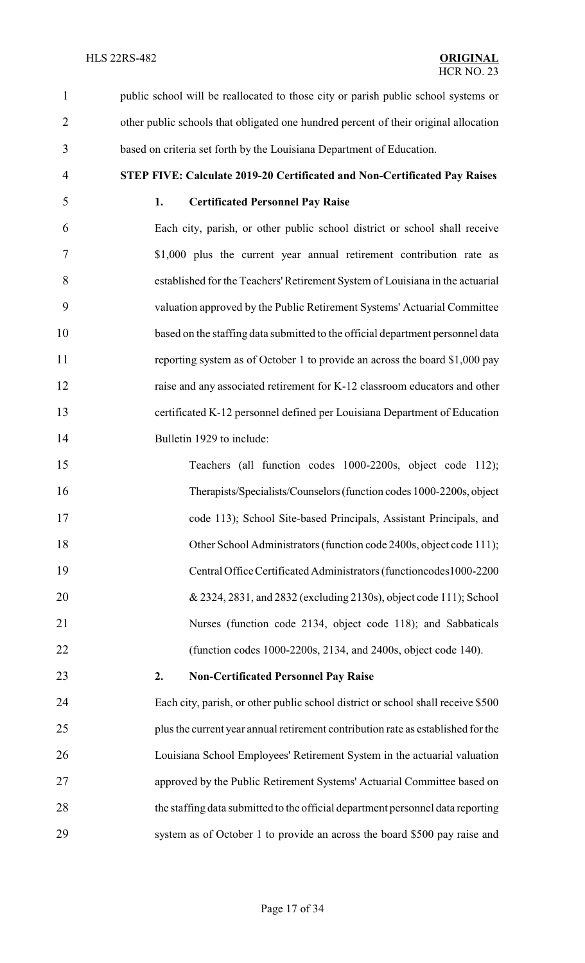public school will be reallocated to those city or parish public school systems or other public schools that obligated one hundred percent of their original allocation based on criteria set forth by the Louisiana Department of Education.

**STEP FIVE: Calculate 2019-20 Certificated and Non-Certificated Pay Raises**

#### **1. Certificated Personnel Pay Raise**

 Each city, parish, or other public school district or school shall receive \$1,000 plus the current year annual retirement contribution rate as established for the Teachers'Retirement System of Louisiana in the actuarial valuation approved by the Public Retirement Systems' Actuarial Committee based on the staffing data submitted to the official department personnel data reporting system as of October 1 to provide an across the board \$1,000 pay 12 raise and any associated retirement for K-12 classroom educators and other certificated K-12 personnel defined per Louisiana Department of Education Bulletin 1929 to include:

 Teachers (all function codes 1000-2200s, object code 112); Therapists/Specialists/Counselors(function codes 1000-2200s, object code 113); School Site-based Principals, Assistant Principals, and 18 Other School Administrators (function code 2400s, object code 111); Central Office Certificated Administrators (functioncodes1000-2200 & 2324, 2831, and 2832 (excluding 2130s), object code 111); School Nurses (function code 2134, object code 118); and Sabbaticals (function codes 1000-2200s, 2134, and 2400s, object code 140).

### **2. Non-Certificated Personnel Pay Raise**

 Each city, parish, or other public school district or school shall receive \$500 plus the current year annual retirement contribution rate as established for the Louisiana School Employees' Retirement System in the actuarial valuation approved by the Public Retirement Systems' Actuarial Committee based on the staffing data submitted to the official department personnel data reporting system as of October 1 to provide an across the board \$500 pay raise and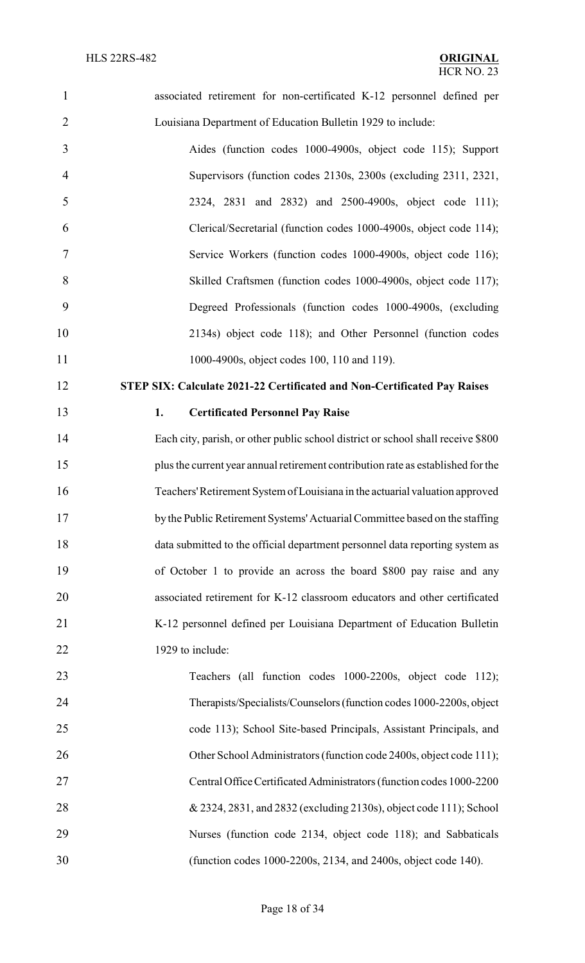| $\mathbf{1}$   | associated retirement for non-certificated K-12 personnel defined per            |
|----------------|----------------------------------------------------------------------------------|
| $\overline{2}$ | Louisiana Department of Education Bulletin 1929 to include:                      |
| 3              | Aides (function codes 1000-4900s, object code 115); Support                      |
| $\overline{4}$ | Supervisors (function codes 2130s, 2300s (excluding 2311, 2321,                  |
| 5              | 2324, 2831 and 2832) and 2500-4900s, object code 111);                           |
| 6              | Clerical/Secretarial (function codes 1000-4900s, object code 114);               |
| 7              | Service Workers (function codes 1000-4900s, object code 116);                    |
| 8              | Skilled Craftsmen (function codes 1000-4900s, object code 117);                  |
| 9              | Degreed Professionals (function codes 1000-4900s, (excluding                     |
| 10             | 2134s) object code 118); and Other Personnel (function codes                     |
| 11             | 1000-4900s, object codes 100, 110 and 119).                                      |
| 12             | STEP SIX: Calculate 2021-22 Certificated and Non-Certificated Pay Raises         |
| 13             | <b>Certificated Personnel Pay Raise</b><br>1.                                    |
| 14             | Each city, parish, or other public school district or school shall receive \$800 |
| 15             | plus the current year annual retirement contribution rate as established for the |
| 16             | Teachers' Retirement System of Louisiana in the actuarial valuation approved     |
| 17             | by the Public Retirement Systems' Actuarial Committee based on the staffing      |
| 18             | data submitted to the official department personnel data reporting system as     |
| 19             | of October 1 to provide an across the board \$800 pay raise and any              |
| 20             | associated retirement for K-12 classroom educators and other certificated        |
| 21             | K-12 personnel defined per Louisiana Department of Education Bulletin            |
| 22             | 1929 to include:                                                                 |
| 23             | Teachers (all function codes 1000-2200s, object code 112);                       |
| 24             | Therapists/Specialists/Counselors (function codes 1000-2200s, object             |
| 25             | code 113); School Site-based Principals, Assistant Principals, and               |
| 26             | Other School Administrators (function code 2400s, object code 111);              |
| 27             | Central Office Certificated Administrators (function codes 1000-2200             |
| 28             | & 2324, 2831, and 2832 (excluding 2130s), object code 111); School               |
| 29             | Nurses (function code 2134, object code 118); and Sabbaticals                    |
| 30             | (function codes 1000-2200s, 2134, and 2400s, object code 140).                   |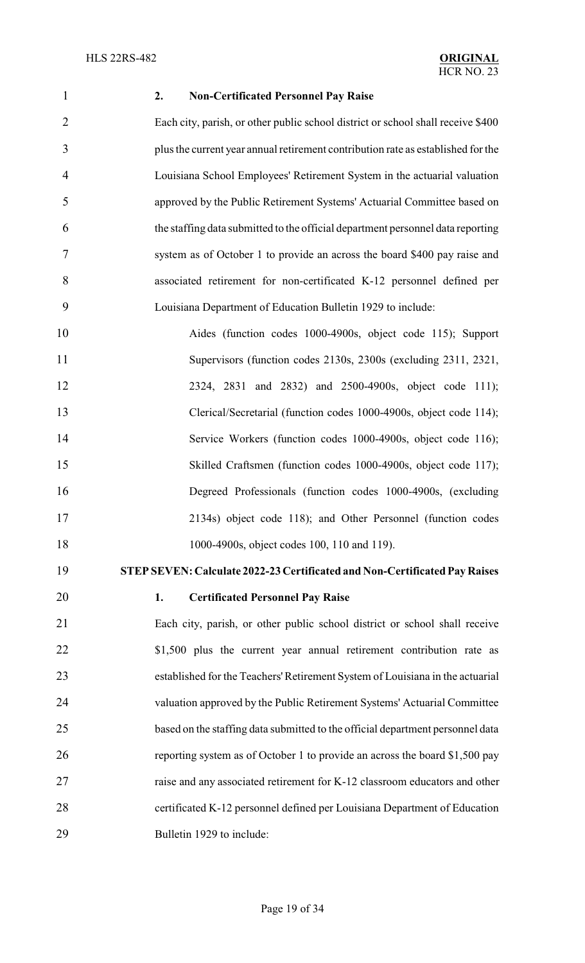#### **2. Non-Certificated Personnel Pay Raise**

 Each city, parish, or other public school district or school shall receive \$400 plus the current year annual retirement contribution rate as established for the Louisiana School Employees' Retirement System in the actuarial valuation approved by the Public Retirement Systems' Actuarial Committee based on the staffing data submitted to the official department personnel data reporting system as of October 1 to provide an across the board \$400 pay raise and associated retirement for non-certificated K-12 personnel defined per Louisiana Department of Education Bulletin 1929 to include:

 Aides (function codes 1000-4900s, object code 115); Support Supervisors (function codes 2130s, 2300s (excluding 2311, 2321, 2324, 2831 and 2832) and 2500-4900s, object code 111); Clerical/Secretarial (function codes 1000-4900s, object code 114); Service Workers (function codes 1000-4900s, object code 116); Skilled Craftsmen (function codes 1000-4900s, object code 117); Degreed Professionals (function codes 1000-4900s, (excluding 2134s) object code 118); and Other Personnel (function codes 1000-4900s, object codes 100, 110 and 119).

## **STEPSEVEN: Calculate 2022-23 Certificated and Non-Certificated Pay Raises**

### **1. Certificated Personnel Pay Raise**

 Each city, parish, or other public school district or school shall receive 22 \$1,500 plus the current year annual retirement contribution rate as established for the Teachers'Retirement System of Louisiana in the actuarial valuation approved by the Public Retirement Systems' Actuarial Committee based on the staffing data submitted to the official department personnel data reporting system as of October 1 to provide an across the board \$1,500 pay raise and any associated retirement for K-12 classroom educators and other certificated K-12 personnel defined per Louisiana Department of Education Bulletin 1929 to include: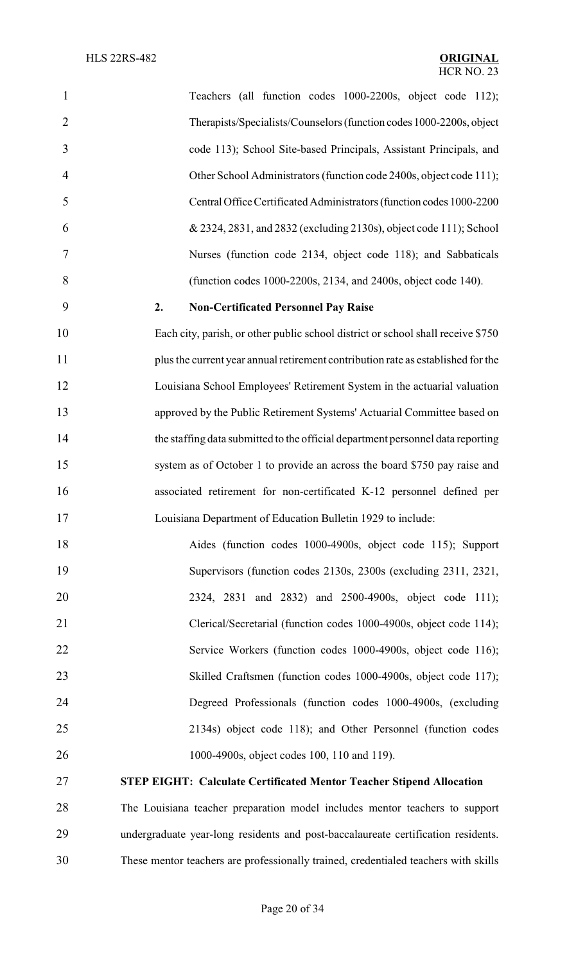| $\mathbf{1}$   | Teachers (all function codes 1000-2200s, object code 112);                       |
|----------------|----------------------------------------------------------------------------------|
| $\overline{2}$ | Therapists/Specialists/Counselors (function codes 1000-2200s, object             |
| 3              | code 113); School Site-based Principals, Assistant Principals, and               |
| 4              | Other School Administrators (function code 2400s, object code 111);              |
| 5              | Central Office Certificated Administrators (function codes 1000-2200             |
| 6              | & 2324, 2831, and 2832 (excluding 2130s), object code 111); School               |
| 7              | Nurses (function code 2134, object code 118); and Sabbaticals                    |
| 8              | (function codes 1000-2200s, 2134, and 2400s, object code 140).                   |
| 9              | 2.<br><b>Non-Certificated Personnel Pay Raise</b>                                |
| 10             | Each city, parish, or other public school district or school shall receive \$750 |
| 11             | plus the current year annual retirement contribution rate as established for the |
| 12             | Louisiana School Employees' Retirement System in the actuarial valuation         |
| 13             | approved by the Public Retirement Systems' Actuarial Committee based on          |
| 14             | the staffing data submitted to the official department personnel data reporting  |
| 15             | system as of October 1 to provide an across the board \$750 pay raise and        |
| 16             | associated retirement for non-certificated K-12 personnel defined per            |
| 17             | Louisiana Department of Education Bulletin 1929 to include:                      |
| 18             | Aides (function codes 1000-4900s, object code 115); Support                      |
| 19             | Supervisors (function codes 2130s, 2300s (excluding 2311, 2321,                  |
| 20             | 2324, 2831 and 2832) and 2500-4900s, object code 111);                           |
| 21             | Clerical/Secretarial (function codes 1000-4900s, object code 114);               |
| 22             | Service Workers (function codes 1000-4900s, object code 116);                    |
| 23             | Skilled Craftsmen (function codes 1000-4900s, object code 117);                  |
| 24             | Degreed Professionals (function codes 1000-4900s, (excluding                     |
| 25             | 2134s) object code 118); and Other Personnel (function codes                     |
| 26             | 1000-4900s, object codes 100, 110 and 119).                                      |
| 27             | <b>STEP EIGHT: Calculate Certificated Mentor Teacher Stipend Allocation</b>      |
|                |                                                                                  |

 The Louisiana teacher preparation model includes mentor teachers to support undergraduate year-long residents and post-baccalaureate certification residents. These mentor teachers are professionally trained, credentialed teachers with skills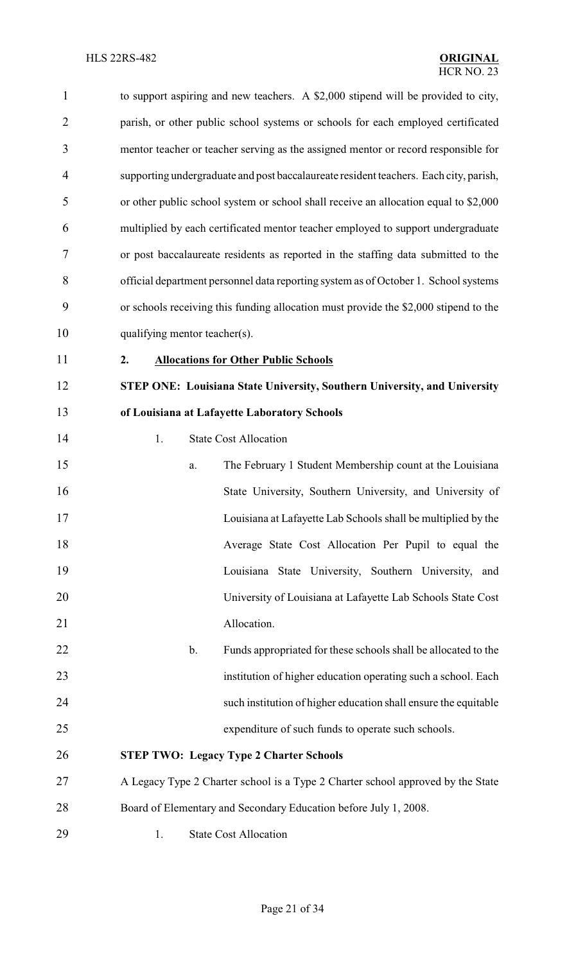| $\mathbf{1}$   | to support aspiring and new teachers. A \$2,000 stipend will be provided to city,     |
|----------------|---------------------------------------------------------------------------------------|
| $\overline{2}$ | parish, or other public school systems or schools for each employed certificated      |
| 3              | mentor teacher or teacher serving as the assigned mentor or record responsible for    |
| $\overline{4}$ | supporting undergraduate and post baccalaureate resident teachers. Each city, parish, |
| 5              | or other public school system or school shall receive an allocation equal to \$2,000  |
| 6              | multiplied by each certificated mentor teacher employed to support undergraduate      |
| 7              | or post baccalaureate residents as reported in the staffing data submitted to the     |
| 8              | official department personnel data reporting system as of October 1. School systems   |
| 9              | or schools receiving this funding allocation must provide the \$2,000 stipend to the  |
| 10             | qualifying mentor teacher(s).                                                         |
| 11             | <b>Allocations for Other Public Schools</b><br>2.                                     |
| 12             | STEP ONE: Louisiana State University, Southern University, and University             |
| 13             | of Louisiana at Lafayette Laboratory Schools                                          |
| 14             | <b>State Cost Allocation</b><br>1.                                                    |
| 15             | The February 1 Student Membership count at the Louisiana<br>a.                        |
| 16             | State University, Southern University, and University of                              |
| 17             | Louisiana at Lafayette Lab Schools shall be multiplied by the                         |
| 18             | Average State Cost Allocation Per Pupil to equal the                                  |
| 19             | Louisiana State University, Southern University, and                                  |
| 20             | University of Louisiana at Lafayette Lab Schools State Cost                           |
| 21             | Allocation.                                                                           |
| 22             | Funds appropriated for these schools shall be allocated to the<br>$\mathbf b$ .       |
| 23             | institution of higher education operating such a school. Each                         |
| 24             | such institution of higher education shall ensure the equitable                       |
| 25             | expenditure of such funds to operate such schools.                                    |
| 26             | <b>STEP TWO: Legacy Type 2 Charter Schools</b>                                        |
| 27             | A Legacy Type 2 Charter school is a Type 2 Charter school approved by the State       |
| 28             | Board of Elementary and Secondary Education before July 1, 2008.                      |
| 29             | <b>State Cost Allocation</b><br>1.                                                    |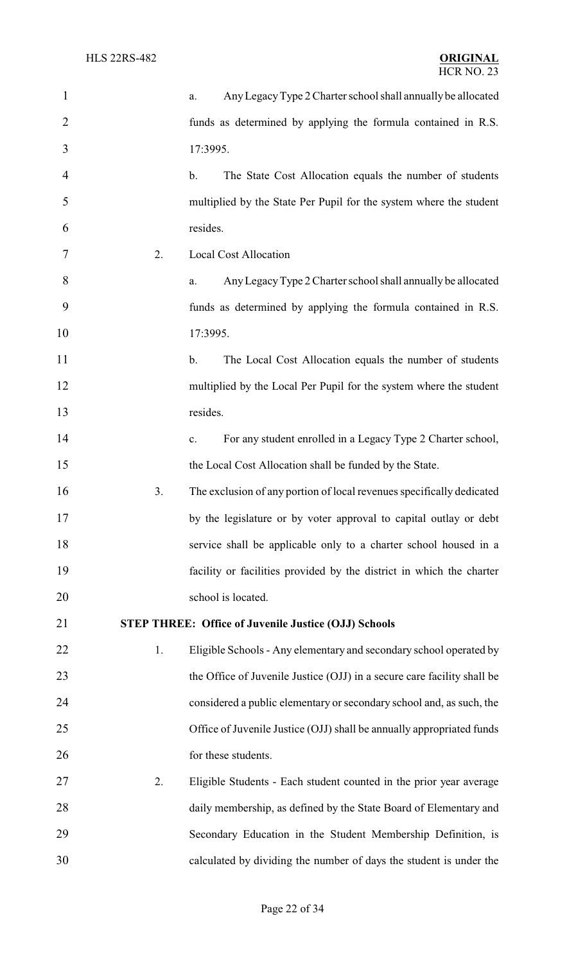| $\mathbf{1}$   |    | Any Legacy Type 2 Charter school shall annually be allocated<br>a.       |
|----------------|----|--------------------------------------------------------------------------|
| $\overline{2}$ |    | funds as determined by applying the formula contained in R.S.            |
| 3              |    | 17:3995.                                                                 |
| $\overline{4}$ |    | The State Cost Allocation equals the number of students<br>$\mathbf b$ . |
| 5              |    | multiplied by the State Per Pupil for the system where the student       |
| 6              |    | resides.                                                                 |
| 7              | 2. | <b>Local Cost Allocation</b>                                             |
| 8              |    | Any Legacy Type 2 Charter school shall annually be allocated<br>a.       |
| 9              |    | funds as determined by applying the formula contained in R.S.            |
| 10             |    | 17:3995.                                                                 |
| 11             |    | The Local Cost Allocation equals the number of students<br>$\mathbf b$ . |
| 12             |    | multiplied by the Local Per Pupil for the system where the student       |
| 13             |    | resides.                                                                 |
| 14             |    | For any student enrolled in a Legacy Type 2 Charter school,<br>c.        |
| 15             |    | the Local Cost Allocation shall be funded by the State.                  |
| 16             | 3. | The exclusion of any portion of local revenues specifically dedicated    |
| 17             |    | by the legislature or by voter approval to capital outlay or debt        |
| 18             |    | service shall be applicable only to a charter school housed in a         |
| 19             |    | facility or facilities provided by the district in which the charter     |
| 20             |    | school is located.                                                       |
| 21             |    | <b>STEP THREE: Office of Juvenile Justice (OJJ) Schools</b>              |
| 22             | 1. | Eligible Schools - Any elementary and secondary school operated by       |
| 23             |    | the Office of Juvenile Justice (OJJ) in a secure care facility shall be  |
| 24             |    | considered a public elementary or secondary school and, as such, the     |
| 25             |    | Office of Juvenile Justice (OJJ) shall be annually appropriated funds    |
| 26             |    | for these students.                                                      |
| 27             | 2. | Eligible Students - Each student counted in the prior year average       |
| 28             |    | daily membership, as defined by the State Board of Elementary and        |
| 29             |    | Secondary Education in the Student Membership Definition, is             |
| 30             |    | calculated by dividing the number of days the student is under the       |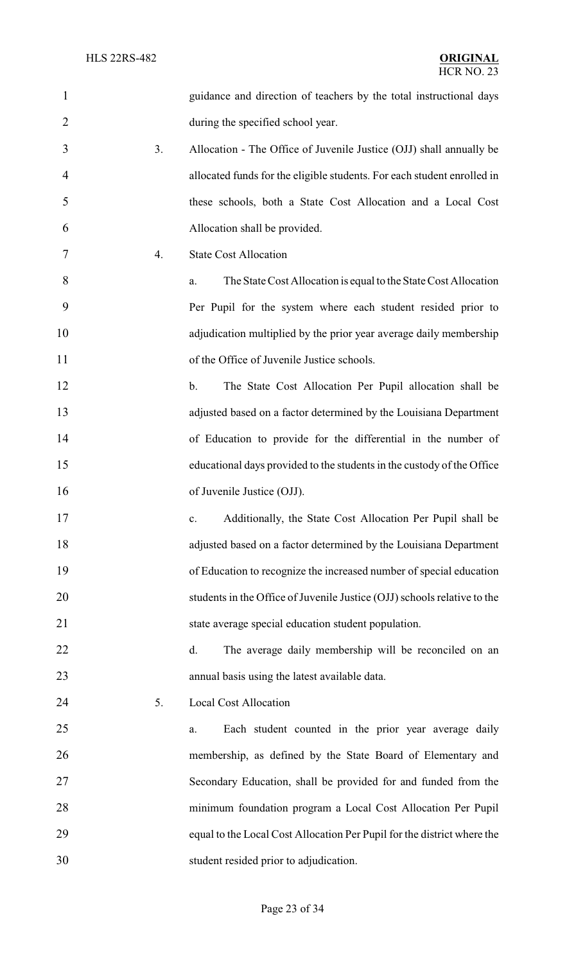| $\mathbf{1}$   |    | guidance and direction of teachers by the total instructional days       |
|----------------|----|--------------------------------------------------------------------------|
| $\overline{2}$ |    | during the specified school year.                                        |
| 3              | 3. | Allocation - The Office of Juvenile Justice (OJJ) shall annually be      |
| $\overline{4}$ |    | allocated funds for the eligible students. For each student enrolled in  |
| 5              |    | these schools, both a State Cost Allocation and a Local Cost             |
| 6              |    | Allocation shall be provided.                                            |
| 7              | 4. | <b>State Cost Allocation</b>                                             |
| 8              |    | The State Cost Allocation is equal to the State Cost Allocation<br>a.    |
| 9              |    | Per Pupil for the system where each student resided prior to             |
| 10             |    | adjudication multiplied by the prior year average daily membership       |
| 11             |    | of the Office of Juvenile Justice schools.                               |
| 12             |    | The State Cost Allocation Per Pupil allocation shall be<br>$\mathbf b$ . |
| 13             |    | adjusted based on a factor determined by the Louisiana Department        |
| 14             |    | of Education to provide for the differential in the number of            |
| 15             |    | educational days provided to the students in the custody of the Office   |
| 16             |    | of Juvenile Justice (OJJ).                                               |
| 17             |    | Additionally, the State Cost Allocation Per Pupil shall be<br>c.         |
| 18             |    | adjusted based on a factor determined by the Louisiana Department        |
| 19             |    | of Education to recognize the increased number of special education      |
| 20             |    | students in the Office of Juvenile Justice (OJJ) schools relative to the |
| 21             |    | state average special education student population.                      |
| 22             |    | The average daily membership will be reconciled on an<br>d.              |
| 23             |    | annual basis using the latest available data.                            |
| 24             | 5. | <b>Local Cost Allocation</b>                                             |
| 25             |    | Each student counted in the prior year average daily<br>a.               |
| 26             |    | membership, as defined by the State Board of Elementary and              |
| 27             |    | Secondary Education, shall be provided for and funded from the           |
| 28             |    | minimum foundation program a Local Cost Allocation Per Pupil             |
| 29             |    | equal to the Local Cost Allocation Per Pupil for the district where the  |
| 30             |    | student resided prior to adjudication.                                   |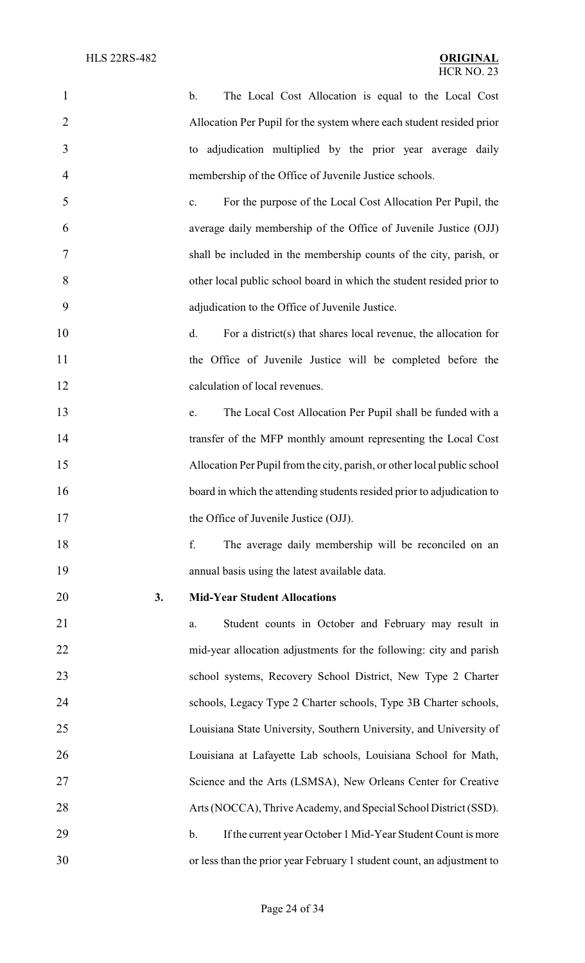| 1              |    | The Local Cost Allocation is equal to the Local Cost<br>$\mathbf b$ .    |
|----------------|----|--------------------------------------------------------------------------|
| $\overline{2}$ |    | Allocation Per Pupil for the system where each student resided prior     |
| 3              |    | to adjudication multiplied by the prior year average daily               |
| 4              |    | membership of the Office of Juvenile Justice schools.                    |
| 5              |    | For the purpose of the Local Cost Allocation Per Pupil, the<br>c.        |
| 6              |    | average daily membership of the Office of Juvenile Justice (OJJ)         |
| 7              |    | shall be included in the membership counts of the city, parish, or       |
| 8              |    | other local public school board in which the student resided prior to    |
| 9              |    | adjudication to the Office of Juvenile Justice.                          |
| 10             |    | d.<br>For a district(s) that shares local revenue, the allocation for    |
| 11             |    | the Office of Juvenile Justice will be completed before the              |
| 12             |    | calculation of local revenues.                                           |
| 13             |    | The Local Cost Allocation Per Pupil shall be funded with a<br>e.         |
| 14             |    | transfer of the MFP monthly amount representing the Local Cost           |
| 15             |    | Allocation Per Pupil from the city, parish, or other local public school |
| 16             |    | board in which the attending students resided prior to adjudication to   |
| 17             |    | the Office of Juvenile Justice (OJJ).                                    |
| 18             |    | f.<br>The average daily membership will be reconciled on an              |
| 19             |    | annual basis using the latest available data.                            |
| 20             | 3. | <b>Mid-Year Student Allocations</b>                                      |
| 21             |    | Student counts in October and February may result in<br>a.               |
| 22             |    | mid-year allocation adjustments for the following: city and parish       |
| 23             |    | school systems, Recovery School District, New Type 2 Charter             |
| 24             |    | schools, Legacy Type 2 Charter schools, Type 3B Charter schools,         |
| 25             |    | Louisiana State University, Southern University, and University of       |
| 26             |    | Louisiana at Lafayette Lab schools, Louisiana School for Math,           |
| 27             |    | Science and the Arts (LSMSA), New Orleans Center for Creative            |
| 28             |    | Arts (NOCCA), Thrive Academy, and Special School District (SSD).         |
| 29             |    | b.<br>If the current year October 1 Mid-Year Student Count is more       |
| 30             |    | or less than the prior year February 1 student count, an adjustment to   |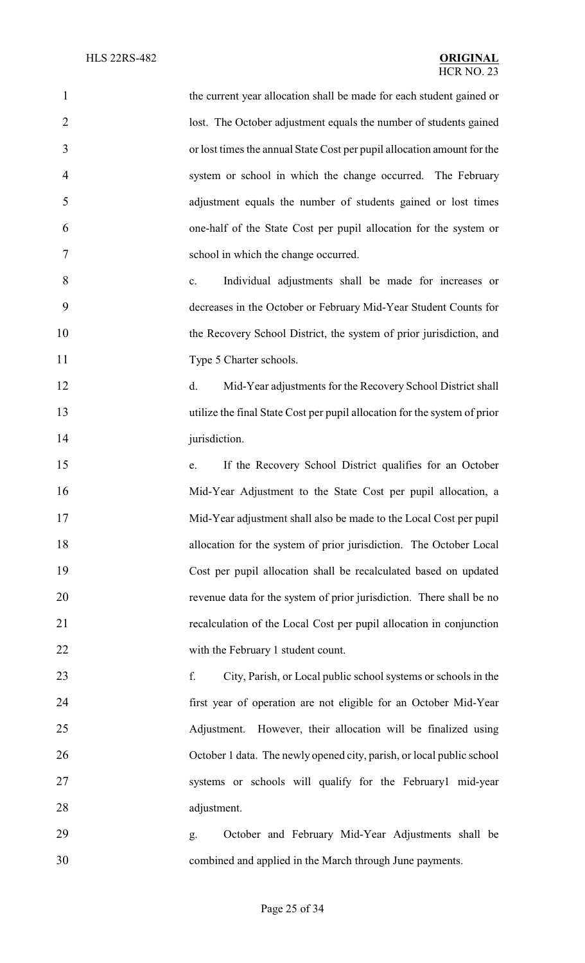| $\mathbf{1}$   | the current year allocation shall be made for each student gained or      |
|----------------|---------------------------------------------------------------------------|
| $\overline{2}$ | lost. The October adjustment equals the number of students gained         |
| 3              | or lost times the annual State Cost per pupil allocation amount for the   |
| $\overline{4}$ | system or school in which the change occurred. The February               |
| 5              | adjustment equals the number of students gained or lost times             |
| 6              | one-half of the State Cost per pupil allocation for the system or         |
| 7              | school in which the change occurred.                                      |
| 8              | Individual adjustments shall be made for increases or<br>c.               |
| 9              | decreases in the October or February Mid-Year Student Counts for          |
| 10             | the Recovery School District, the system of prior jurisdiction, and       |
| 11             | Type 5 Charter schools.                                                   |
| 12             | Mid-Year adjustments for the Recovery School District shall<br>d.         |
| 13             | utilize the final State Cost per pupil allocation for the system of prior |
| 14             | jurisdiction.                                                             |
| 15             | If the Recovery School District qualifies for an October<br>e.            |
| 16             | Mid-Year Adjustment to the State Cost per pupil allocation, a             |
| 17             | Mid-Year adjustment shall also be made to the Local Cost per pupil        |
| 18             | allocation for the system of prior jurisdiction. The October Local        |
| 19             | Cost per pupil allocation shall be recalculated based on updated          |
| 20             | revenue data for the system of prior jurisdiction. There shall be no      |
| 21             | recalculation of the Local Cost per pupil allocation in conjunction       |
| 22             | with the February 1 student count.                                        |
| 23             | f.<br>City, Parish, or Local public school systems or schools in the      |
| 24             | first year of operation are not eligible for an October Mid-Year          |
| 25             | However, their allocation will be finalized using<br>Adjustment.          |
| 26             | October 1 data. The newly opened city, parish, or local public school     |
| 27             | systems or schools will qualify for the February1 mid-year                |
| 28             | adjustment.                                                               |
| 29             | October and February Mid-Year Adjustments shall be<br>g.                  |
| 30             | combined and applied in the March through June payments.                  |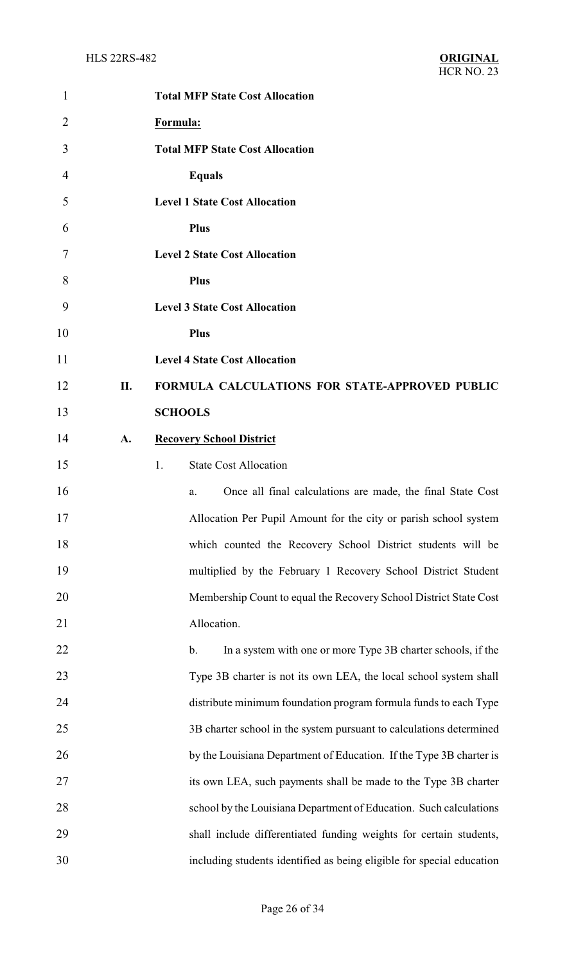| $\mathbf{1}$   |    | <b>Total MFP State Cost Allocation</b>                                |
|----------------|----|-----------------------------------------------------------------------|
| $\overline{2}$ |    | Formula:                                                              |
| 3              |    | <b>Total MFP State Cost Allocation</b>                                |
| $\overline{4}$ |    | <b>Equals</b>                                                         |
| 5              |    | <b>Level 1 State Cost Allocation</b>                                  |
| 6              |    | <b>Plus</b>                                                           |
| 7              |    | <b>Level 2 State Cost Allocation</b>                                  |
| 8              |    | <b>Plus</b>                                                           |
| 9              |    | <b>Level 3 State Cost Allocation</b>                                  |
| 10             |    | <b>Plus</b>                                                           |
| 11             |    | <b>Level 4 State Cost Allocation</b>                                  |
| 12             | П. | FORMULA CALCULATIONS FOR STATE-APPROVED PUBLIC                        |
| 13             |    | <b>SCHOOLS</b>                                                        |
| 14             | A. | <b>Recovery School District</b>                                       |
| 15             |    | <b>State Cost Allocation</b><br>1.                                    |
| 16             |    | Once all final calculations are made, the final State Cost<br>a.      |
| 17             |    | Allocation Per Pupil Amount for the city or parish school system      |
| 18             |    | which counted the Recovery School District students will be           |
| 19             |    | multiplied by the February 1 Recovery School District Student         |
| 20             |    | Membership Count to equal the Recovery School District State Cost     |
| 21             |    | Allocation.                                                           |
| 22             |    | $b$ .<br>In a system with one or more Type 3B charter schools, if the |
| 23             |    | Type 3B charter is not its own LEA, the local school system shall     |
| 24             |    | distribute minimum foundation program formula funds to each Type      |
| 25             |    | 3B charter school in the system pursuant to calculations determined   |
| 26             |    | by the Louisiana Department of Education. If the Type 3B charter is   |
| 27             |    | its own LEA, such payments shall be made to the Type 3B charter       |
| 28             |    | school by the Louisiana Department of Education. Such calculations    |
| 29             |    | shall include differentiated funding weights for certain students,    |
| 30             |    | including students identified as being eligible for special education |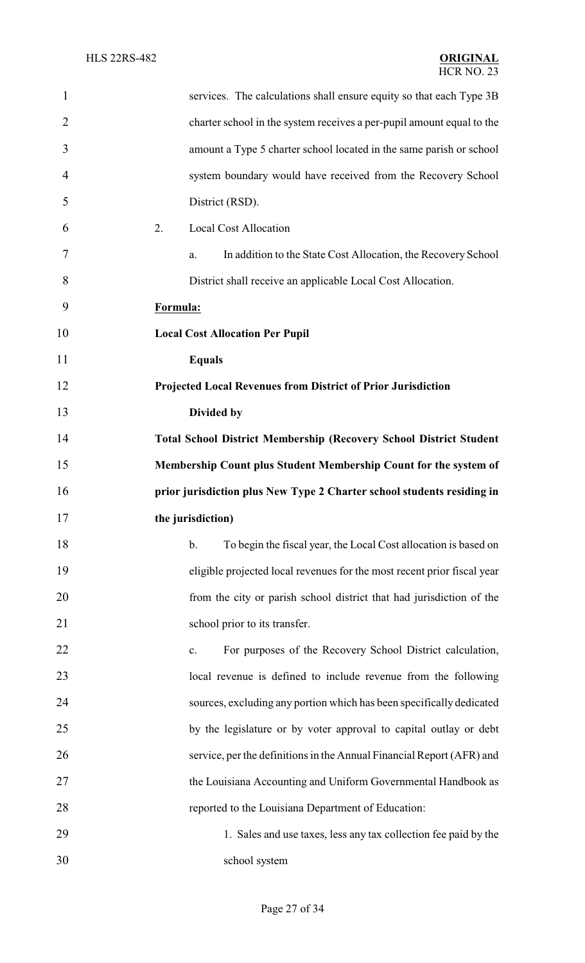| $\mathbf{1}$   | services. The calculations shall ensure equity so that each Type 3B              |
|----------------|----------------------------------------------------------------------------------|
| $\overline{2}$ | charter school in the system receives a per-pupil amount equal to the            |
| 3              | amount a Type 5 charter school located in the same parish or school              |
| $\overline{4}$ | system boundary would have received from the Recovery School                     |
| 5              | District (RSD).                                                                  |
| 6              | 2.<br><b>Local Cost Allocation</b>                                               |
| 7              | In addition to the State Cost Allocation, the Recovery School<br>a.              |
| 8              | District shall receive an applicable Local Cost Allocation.                      |
| 9              | Formula:                                                                         |
| 10             | <b>Local Cost Allocation Per Pupil</b>                                           |
| 11             | <b>Equals</b>                                                                    |
| 12             | Projected Local Revenues from District of Prior Jurisdiction                     |
| 13             | Divided by                                                                       |
| 14             | <b>Total School District Membership (Recovery School District Student</b>        |
| 15             | Membership Count plus Student Membership Count for the system of                 |
| 16             | prior jurisdiction plus New Type 2 Charter school students residing in           |
| 17             | the jurisdiction)                                                                |
| 18             | $\mathbf b$ .<br>To begin the fiscal year, the Local Cost allocation is based on |
| 19             | eligible projected local revenues for the most recent prior fiscal year          |
| 20             | from the city or parish school district that had jurisdiction of the             |
| 21             | school prior to its transfer.                                                    |
| 22             | For purposes of the Recovery School District calculation,<br>$\mathbf{c}$ .      |
| 23             | local revenue is defined to include revenue from the following                   |
| 24             | sources, excluding any portion which has been specifically dedicated             |
| 25             | by the legislature or by voter approval to capital outlay or debt                |
| 26             | service, per the definitions in the Annual Financial Report (AFR) and            |
| 27             | the Louisiana Accounting and Uniform Governmental Handbook as                    |
| 28             | reported to the Louisiana Department of Education:                               |
| 29             | 1. Sales and use taxes, less any tax collection fee paid by the                  |
| 30             | school system                                                                    |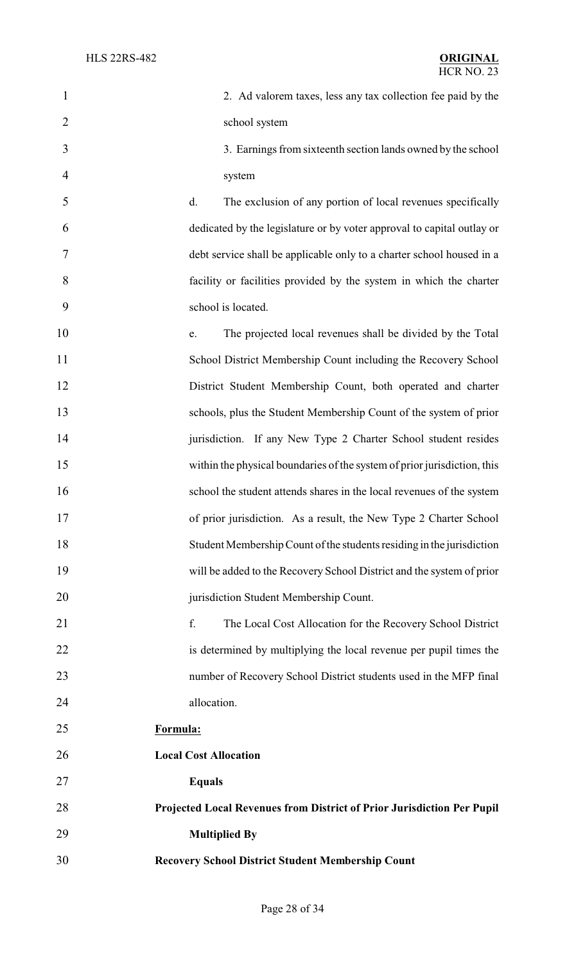| $\mathbf{1}$   | 2. Ad valorem taxes, less any tax collection fee paid by the             |
|----------------|--------------------------------------------------------------------------|
| $\overline{2}$ | school system                                                            |
| 3              | 3. Earnings from sixteenth section lands owned by the school             |
| $\overline{4}$ | system                                                                   |
| 5              | The exclusion of any portion of local revenues specifically<br>d.        |
| 6              | dedicated by the legislature or by voter approval to capital outlay or   |
| 7              | debt service shall be applicable only to a charter school housed in a    |
| 8              | facility or facilities provided by the system in which the charter       |
| 9              | school is located.                                                       |
| 10             | The projected local revenues shall be divided by the Total<br>e.         |
| 11             | School District Membership Count including the Recovery School           |
| 12             | District Student Membership Count, both operated and charter             |
| 13             | schools, plus the Student Membership Count of the system of prior        |
| 14             | jurisdiction. If any New Type 2 Charter School student resides           |
| 15             | within the physical boundaries of the system of prior jurisdiction, this |
| 16             | school the student attends shares in the local revenues of the system    |
| 17             | of prior jurisdiction. As a result, the New Type 2 Charter School        |
| 18             | Student Membership Count of the students residing in the jurisdiction    |
| 19             | will be added to the Recovery School District and the system of prior    |
| 20             | jurisdiction Student Membership Count.                                   |
| 21             | f.<br>The Local Cost Allocation for the Recovery School District         |
| 22             | is determined by multiplying the local revenue per pupil times the       |
| 23             | number of Recovery School District students used in the MFP final        |
| 24             | allocation.                                                              |
| 25             | Formula:                                                                 |
| 26             | <b>Local Cost Allocation</b>                                             |
| 27             | <b>Equals</b>                                                            |
| 28             | Projected Local Revenues from District of Prior Jurisdiction Per Pupil   |
| 29             | <b>Multiplied By</b>                                                     |
| 30             | <b>Recovery School District Student Membership Count</b>                 |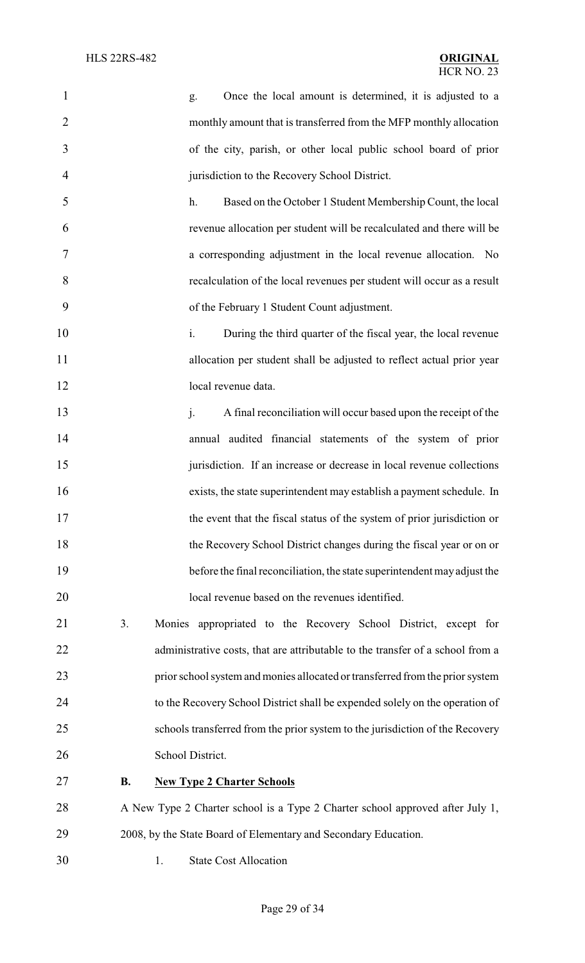| $\mathbf{1}$   |           | Once the local amount is determined, it is adjusted to a<br>g.                    |
|----------------|-----------|-----------------------------------------------------------------------------------|
| $\overline{2}$ |           | monthly amount that is transferred from the MFP monthly allocation                |
| 3              |           | of the city, parish, or other local public school board of prior                  |
| $\overline{4}$ |           | jurisdiction to the Recovery School District.                                     |
| 5              |           | Based on the October 1 Student Membership Count, the local<br>h.                  |
| 6              |           | revenue allocation per student will be recalculated and there will be             |
| 7              |           | a corresponding adjustment in the local revenue allocation. No                    |
| 8              |           | recalculation of the local revenues per student will occur as a result            |
| 9              |           | of the February 1 Student Count adjustment.                                       |
| 10             |           | i.<br>During the third quarter of the fiscal year, the local revenue              |
| 11             |           | allocation per student shall be adjusted to reflect actual prior year             |
| 12             |           | local revenue data.                                                               |
| 13             |           | A final reconciliation will occur based upon the receipt of the<br>$\mathbf{i}$ . |
| 14             |           | annual audited financial statements of the system of prior                        |
| 15             |           | jurisdiction. If an increase or decrease in local revenue collections             |
| 16             |           | exists, the state superintendent may establish a payment schedule. In             |
| 17             |           | the event that the fiscal status of the system of prior jurisdiction or           |
| 18             |           | the Recovery School District changes during the fiscal year or on or              |
| 19             |           | before the final reconciliation, the state superintendent may adjust the          |
| 20             |           | local revenue based on the revenues identified.                                   |
| 21             | 3.        | Monies appropriated to the Recovery School District, except for                   |
| 22             |           | administrative costs, that are attributable to the transfer of a school from a    |
| 23             |           | prior school system and monies allocated or transferred from the prior system     |
| 24             |           | to the Recovery School District shall be expended solely on the operation of      |
| 25             |           | schools transferred from the prior system to the jurisdiction of the Recovery     |
| 26             |           | School District.                                                                  |
| 27             | <b>B.</b> | <b>New Type 2 Charter Schools</b>                                                 |
| 28             |           | A New Type 2 Charter school is a Type 2 Charter school approved after July 1,     |
| 29             |           | 2008, by the State Board of Elementary and Secondary Education.                   |
| 30             | 1.        | <b>State Cost Allocation</b>                                                      |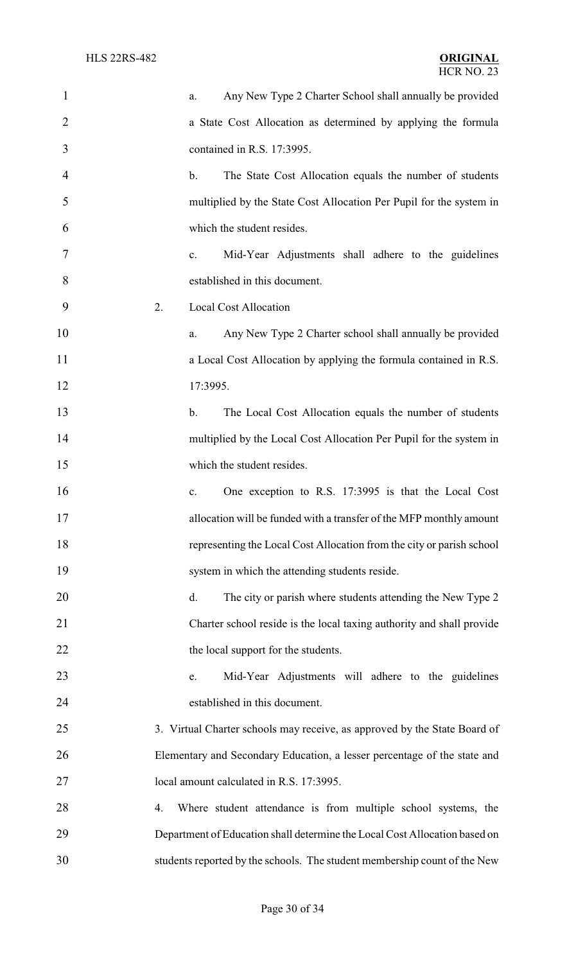| $\mathbf{1}$   | Any New Type 2 Charter School shall annually be provided<br>a.             |
|----------------|----------------------------------------------------------------------------|
| $\overline{2}$ | a State Cost Allocation as determined by applying the formula              |
| 3              | contained in R.S. 17:3995.                                                 |
| $\overline{4}$ | The State Cost Allocation equals the number of students<br>$\mathbf b$ .   |
| 5              | multiplied by the State Cost Allocation Per Pupil for the system in        |
| 6              | which the student resides.                                                 |
| 7              | Mid-Year Adjustments shall adhere to the guidelines<br>c.                  |
| 8              | established in this document.                                              |
| 9              | 2.<br><b>Local Cost Allocation</b>                                         |
| 10             | Any New Type 2 Charter school shall annually be provided<br>a.             |
| 11             | a Local Cost Allocation by applying the formula contained in R.S.          |
| 12             | 17:3995.                                                                   |
| 13             | The Local Cost Allocation equals the number of students<br>$\mathbf{b}$ .  |
| 14             | multiplied by the Local Cost Allocation Per Pupil for the system in        |
| 15             | which the student resides.                                                 |
| 16             | One exception to R.S. 17:3995 is that the Local Cost<br>$\mathbf{c}$ .     |
| 17             | allocation will be funded with a transfer of the MFP monthly amount        |
| 18             | representing the Local Cost Allocation from the city or parish school      |
| 19             | system in which the attending students reside.                             |
| 20             | The city or parish where students attending the New Type 2<br>d.           |
| 21             | Charter school reside is the local taxing authority and shall provide      |
| 22             | the local support for the students.                                        |
| 23             | Mid-Year Adjustments will adhere to the guidelines<br>e.                   |
| 24             | established in this document.                                              |
| 25             | 3. Virtual Charter schools may receive, as approved by the State Board of  |
| 26             | Elementary and Secondary Education, a lesser percentage of the state and   |
| 27             | local amount calculated in R.S. 17:3995.                                   |
| 28             | Where student attendance is from multiple school systems, the<br>4.        |
| 29             | Department of Education shall determine the Local Cost Allocation based on |
| 30             | students reported by the schools. The student membership count of the New  |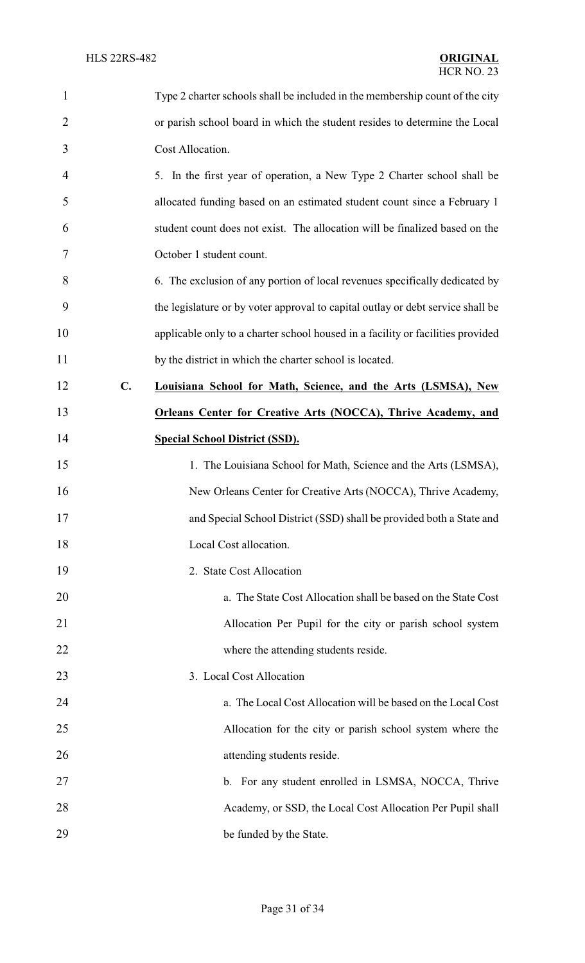| $\mathbf{1}$   |                | Type 2 charter schools shall be included in the membership count of the city    |
|----------------|----------------|---------------------------------------------------------------------------------|
| $\overline{2}$ |                | or parish school board in which the student resides to determine the Local      |
| 3              |                | Cost Allocation.                                                                |
| 4              |                | 5. In the first year of operation, a New Type 2 Charter school shall be         |
| 5              |                | allocated funding based on an estimated student count since a February 1        |
| 6              |                | student count does not exist. The allocation will be finalized based on the     |
| 7              |                | October 1 student count.                                                        |
| 8              |                | 6. The exclusion of any portion of local revenues specifically dedicated by     |
| 9              |                | the legislature or by voter approval to capital outlay or debt service shall be |
| 10             |                | applicable only to a charter school housed in a facility or facilities provided |
| 11             |                | by the district in which the charter school is located.                         |
| 12             | $\mathbf{C}$ . | Louisiana School for Math, Science, and the Arts (LSMSA), New                   |
| 13             |                | <b>Orleans Center for Creative Arts (NOCCA), Thrive Academy, and</b>            |
| 14             |                | <b>Special School District (SSD).</b>                                           |
| 15             |                | 1. The Louisiana School for Math, Science and the Arts (LSMSA),                 |
| 16             |                | New Orleans Center for Creative Arts (NOCCA), Thrive Academy,                   |
| 17             |                | and Special School District (SSD) shall be provided both a State and            |
| 18             |                | Local Cost allocation.                                                          |
| 19             |                | 2. State Cost Allocation                                                        |
| 20             |                | a. The State Cost Allocation shall be based on the State Cost                   |
| 21             |                | Allocation Per Pupil for the city or parish school system                       |
| 22             |                | where the attending students reside.                                            |
| 23             |                | 3. Local Cost Allocation                                                        |
| 24             |                | a. The Local Cost Allocation will be based on the Local Cost                    |
| 25             |                | Allocation for the city or parish school system where the                       |
| 26             |                | attending students reside.                                                      |
| 27             |                | b. For any student enrolled in LSMSA, NOCCA, Thrive                             |
| 28             |                | Academy, or SSD, the Local Cost Allocation Per Pupil shall                      |
| 29             |                | be funded by the State.                                                         |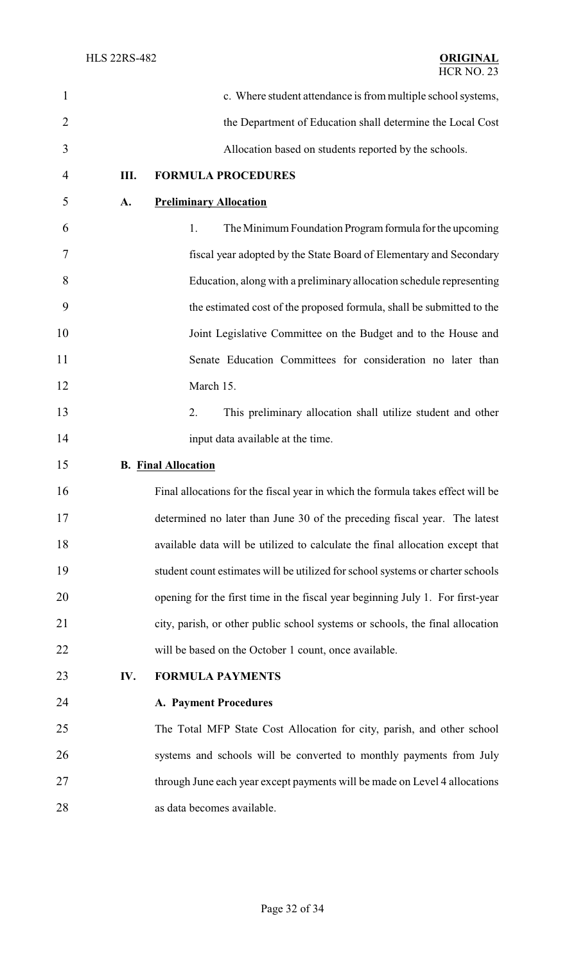| $\mathbf{1}$   |     | c. Where student attendance is from multiple school systems,                    |
|----------------|-----|---------------------------------------------------------------------------------|
| $\overline{2}$ |     | the Department of Education shall determine the Local Cost                      |
| 3              |     | Allocation based on students reported by the schools.                           |
| $\overline{4}$ | Ш.  | <b>FORMULA PROCEDURES</b>                                                       |
| 5              | A.  | <b>Preliminary Allocation</b>                                                   |
| 6              |     | The Minimum Foundation Program formula for the upcoming<br>1.                   |
| 7              |     | fiscal year adopted by the State Board of Elementary and Secondary              |
| 8              |     | Education, along with a preliminary allocation schedule representing            |
| 9              |     | the estimated cost of the proposed formula, shall be submitted to the           |
| 10             |     | Joint Legislative Committee on the Budget and to the House and                  |
| 11             |     | Senate Education Committees for consideration no later than                     |
| 12             |     | March 15.                                                                       |
| 13             |     | 2.<br>This preliminary allocation shall utilize student and other               |
| 14             |     | input data available at the time.                                               |
| 15             |     | <b>B. Final Allocation</b>                                                      |
| 16             |     | Final allocations for the fiscal year in which the formula takes effect will be |
| 17             |     | determined no later than June 30 of the preceding fiscal year. The latest       |
| 18             |     | available data will be utilized to calculate the final allocation except that   |
| 19             |     | student count estimates will be utilized for school systems or charter schools  |
| 20             |     | opening for the first time in the fiscal year beginning July 1. For first-year  |
| 21             |     | city, parish, or other public school systems or schools, the final allocation   |
| 22             |     | will be based on the October 1 count, once available.                           |
| 23             | IV. | <b>FORMULA PAYMENTS</b>                                                         |
| 24             |     | <b>A. Payment Procedures</b>                                                    |
| 25             |     | The Total MFP State Cost Allocation for city, parish, and other school          |
| 26             |     | systems and schools will be converted to monthly payments from July             |
| 27             |     | through June each year except payments will be made on Level 4 allocations      |
| 28             |     | as data becomes available.                                                      |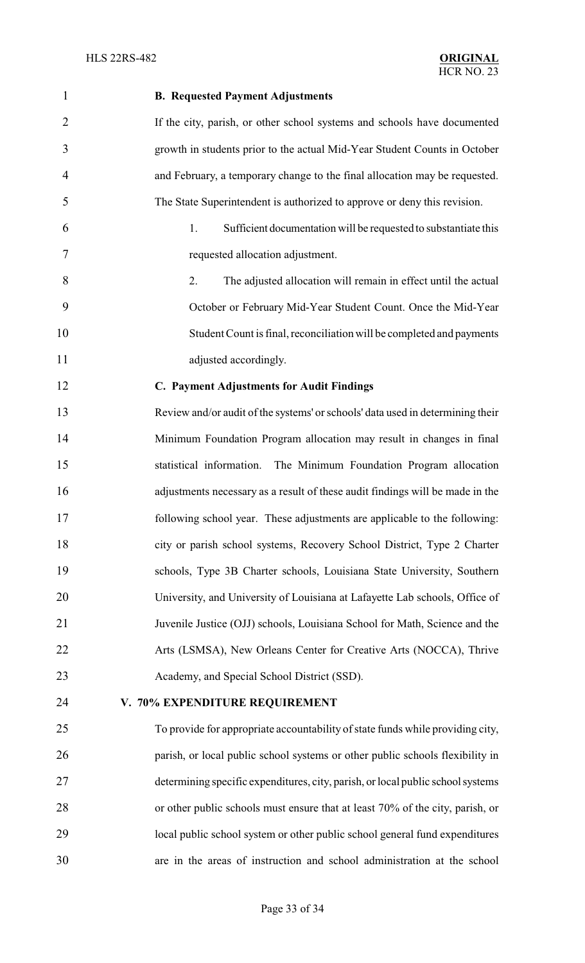# **B. Requested Payment Adjustments** If the city, parish, or other school systems and schools have documented growth in students prior to the actual Mid-Year Student Counts in October and February, a temporary change to the final allocation may be requested. The State Superintendent is authorized to approve or deny this revision. 1. Sufficient documentation will be requested to substantiate this requested allocation adjustment. 2. The adjusted allocation will remain in effect until the actual October or February Mid-Year Student Count. Once the Mid-Year Student Count is final, reconciliation will be completed and payments 11 adjusted accordingly. **C. Payment Adjustments for Audit Findings** Review and/or audit of the systems' or schools' data used in determining their Minimum Foundation Program allocation may result in changes in final statistical information. The Minimum Foundation Program allocation adjustments necessary as a result of these audit findings will be made in the following school year. These adjustments are applicable to the following: city or parish school systems, Recovery School District, Type 2 Charter schools, Type 3B Charter schools, Louisiana State University, Southern University, and University of Louisiana at Lafayette Lab schools, Office of Juvenile Justice (OJJ) schools, Louisiana School for Math, Science and the Arts (LSMSA), New Orleans Center for Creative Arts (NOCCA), Thrive Academy, and Special School District (SSD). **V. 70% EXPENDITURE REQUIREMENT** To provide for appropriate accountability of state funds while providing city, parish, or local public school systems or other public schools flexibility in determining specific expenditures, city, parish, or local public schoolsystems or other public schools must ensure that at least 70% of the city, parish, or local public school system or other public school general fund expenditures are in the areas of instruction and school administration at the school